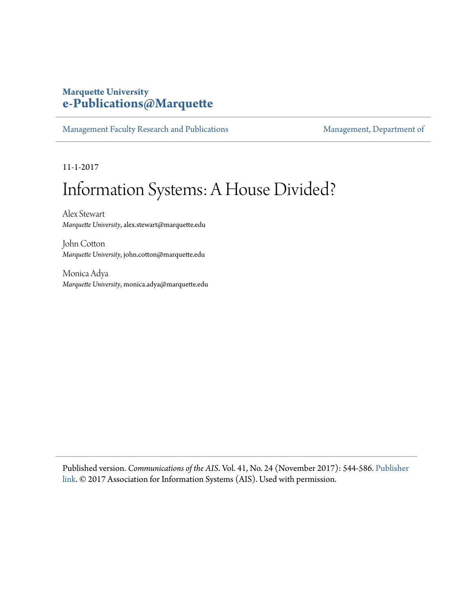# **Marquette University [e-Publications@Marquette](https://epublications.marquette.edu)**

[Management Faculty Research and Publications](https://epublications.marquette.edu/mgmt_fac) [Management, Department of](https://epublications.marquette.edu/mgmt)

11-1-2017

# Information Systems: A House Divided?

Alex Stewart *Marquette University*, alex.stewart@marquette.edu

John Cotton *Marquette University*, john.cotton@marquette.edu

Monica Adya *Marquette University*, monica.adya@marquette.edu

Published version. *Communications of the AIS*. Vol. 41, No. 24 (November 2017): 544-586. [Publisher](http://aisel.aisnet.org/cais/vol41/iss1/24/) [link](http://aisel.aisnet.org/cais/vol41/iss1/24/). © 2017 Association for Information Systems (AIS). Used with permission.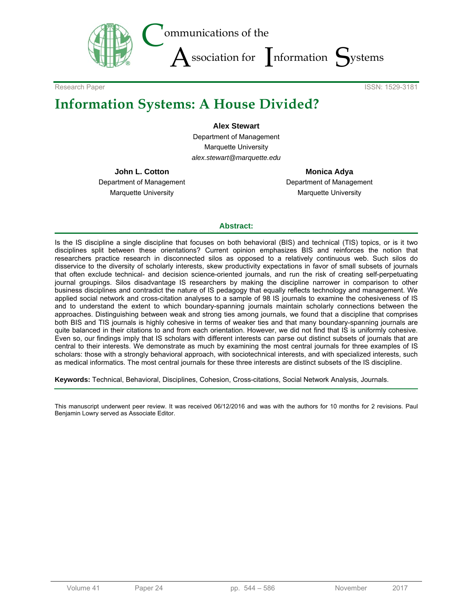

Research Paper ISSN: 1529-3181

# **Information Systems: A House Divided?**

**Alex Stewart**  Department of Management Marquette University *alex.stewart@marquette.edu*

**John L. Cotton**  Department of Management Marquette University

**Monica Adya**  Department of Management Marquette University

#### **Abstract:**

Is the IS discipline a single discipline that focuses on both behavioral (BIS) and technical (TIS) topics, or is it two disciplines split between these orientations? Current opinion emphasizes BIS and reinforces the notion that researchers practice research in disconnected silos as opposed to a relatively continuous web. Such silos do disservice to the diversity of scholarly interests, skew productivity expectations in favor of small subsets of journals that often exclude technical- and decision science-oriented journals, and run the risk of creating self-perpetuating journal groupings. Silos disadvantage IS researchers by making the discipline narrower in comparison to other business disciplines and contradict the nature of IS pedagogy that equally reflects technology and management. We applied social network and cross-citation analyses to a sample of 98 IS journals to examine the cohesiveness of IS and to understand the extent to which boundary-spanning journals maintain scholarly connections between the approaches. Distinguishing between weak and strong ties among journals, we found that a discipline that comprises both BIS and TIS journals is highly cohesive in terms of weaker ties and that many boundary-spanning journals are quite balanced in their citations to and from each orientation. However, we did not find that IS is uniformly cohesive. Even so, our findings imply that IS scholars with different interests can parse out distinct subsets of journals that are central to their interests. We demonstrate as much by examining the most central journals for three examples of IS scholars: those with a strongly behavioral approach, with sociotechnical interests, and with specialized interests, such as medical informatics. The most central journals for these three interests are distinct subsets of the IS discipline.

**Keywords:** Technical, Behavioral, Disciplines, Cohesion, Cross-citations, Social Network Analysis, Journals.

This manuscript underwent peer review. It was received 06/12/2016 and was with the authors for 10 months for 2 revisions. Paul Benjamin Lowry served as Associate Editor.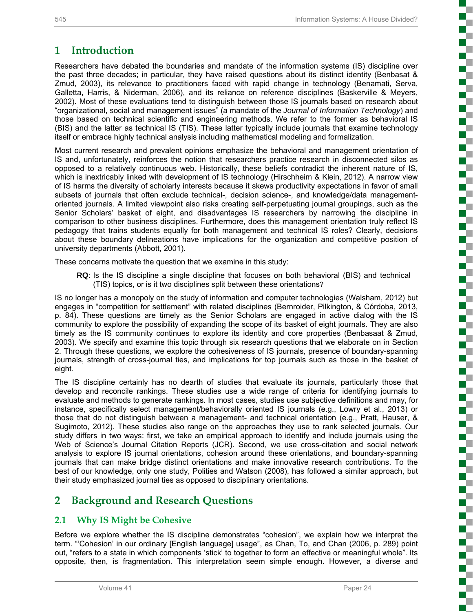E

Ŧ n T

a.

ţ

# **1 Introduction**

Researchers have debated the boundaries and mandate of the information systems (IS) discipline over the past three decades; in particular, they have raised questions about its distinct identity (Benbasat & Zmud, 2003), its relevance to practitioners faced with rapid change in technology (Benamati, Serva, Galletta, Harris, & Niderman, 2006), and its reliance on reference disciplines (Baskerville & Meyers, 2002). Most of these evaluations tend to distinguish between those IS journals based on research about "organizational, social and management issues" (a mandate of the *Journal of Information Technology*) and those based on technical scientific and engineering methods. We refer to the former as behavioral IS (BIS) and the latter as technical IS (TIS). These latter typically include journals that examine technology itself or embrace highly technical analysis including mathematical modeling and formalization.

Most current research and prevalent opinions emphasize the behavioral and management orientation of IS and, unfortunately, reinforces the notion that researchers practice research in disconnected silos as opposed to a relatively continuous web. Historically, these beliefs contradict the inherent nature of IS, which is inextricably linked with development of IS technology (Hirschheim & Klein, 2012). A narrow view of IS harms the diversity of scholarly interests because it skews productivity expectations in favor of small subsets of journals that often exclude technical-, decision science-, and knowledge/data managementoriented journals. A limited viewpoint also risks creating self-perpetuating journal groupings, such as the Senior Scholars' basket of eight, and disadvantages IS researchers by narrowing the discipline in comparison to other business disciplines. Furthermore, does this management orientation truly reflect IS pedagogy that trains students equally for both management and technical IS roles? Clearly, decisions about these boundary delineations have implications for the organization and competitive position of university departments (Abbott, 2001).

These concerns motivate the question that we examine in this study:

**RQ**: Is the IS discipline a single discipline that focuses on both behavioral (BIS) and technical (TIS) topics, or is it two disciplines split between these orientations?

IS no longer has a monopoly on the study of information and computer technologies (Walsham, 2012) but engages in "competition for settlement" with related disciplines (Bernroider, Pilkington, & Córdoba, 2013, p. 84). These questions are timely as the Senior Scholars are engaged in active dialog with the IS community to explore the possibility of expanding the scope of its basket of eight journals. They are also timely as the IS community continues to explore its identity and core properties (Benbasaat & Zmud, 2003). We specify and examine this topic through six research questions that we elaborate on in Section 2. Through these questions, we explore the cohesiveness of IS journals, presence of boundary-spanning journals, strength of cross-journal ties, and implications for top journals such as those in the basket of eight.

The IS discipline certainly has no dearth of studies that evaluate its journals, particularly those that develop and reconcile rankings. These studies use a wide range of criteria for identifying journals to evaluate and methods to generate rankings. In most cases, studies use subjective definitions and may, for instance, specifically select management/behaviorally oriented IS journals (e.g., Lowry et al., 2013) or those that do not distinguish between a management- and technical orientation (e.g., Pratt, Hauser, & Sugimoto, 2012). These studies also range on the approaches they use to rank selected journals. Our study differs in two ways: first, we take an empirical approach to identify and include journals using the Web of Science's Journal Citation Reports (JCR). Second, we use cross-citation and social network analysis to explore IS journal orientations, cohesion around these orientations, and boundary-spanning journals that can make bridge distinct orientations and make innovative research contributions. To the best of our knowledge, only one study, Polities and Watson (2008), has followed a similar approach, but their study emphasized journal ties as opposed to disciplinary orientations.

# **2 Background and Research Questions**

## **2.1 Why IS Might be Cohesive**

Before we explore whether the IS discipline demonstrates "cohesion", we explain how we interpret the term. "'Cohesion' in our ordinary [English language] usage", as Chan, To, and Chan (2006, p. 289) point out, "refers to a state in which components 'stick' to together to form an effective or meaningful whole". Its opposite, then, is fragmentation. This interpretation seem simple enough. However, a diverse and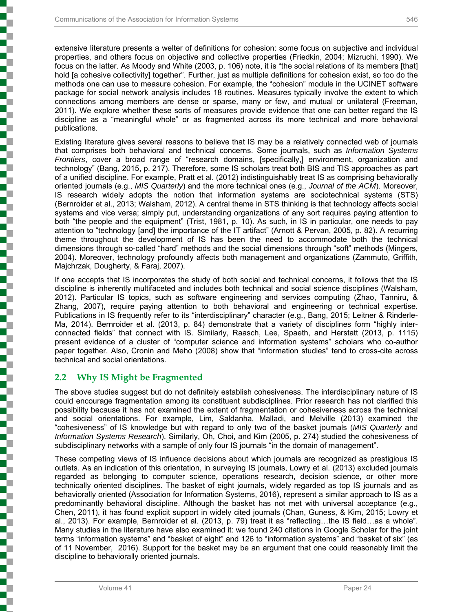extensive literature presents a welter of definitions for cohesion: some focus on subjective and individual properties, and others focus on objective and collective properties (Friedkin, 2004; Mizruchi, 1990). We focus on the latter. As Moody and White (2003, p. 106) note, it is "the social relations of its members [that] hold [a cohesive collectivity] together". Further, just as multiple definitions for cohesion exist, so too do the methods one can use to measure cohesion. For example, the "cohesion" module in the UCINET software package for social network analysis includes 18 routines. Measures typically involve the extent to which connections among members are dense or sparse, many or few, and mutual or unilateral (Freeman, 2011). We explore whether these sorts of measures provide evidence that one can better regard the IS discipline as a "meaningful whole" or as fragmented across its more technical and more behavioral publications.

Existing literature gives several reasons to believe that IS may be a relatively connected web of journals that comprises both behavioral and technical concerns. Some journals, such as *Information Systems Frontiers*, cover a broad range of "research domains, [specifically,] environment, organization and technology" (Bang, 2015, p. 217). Therefore, some IS scholars treat both BIS and TIS approaches as part of a unified discipline. For example, Pratt et al. (2012) indistinguishably treat IS as comprising behaviorally oriented journals (e.g., *MIS Quarterly*) and the more technical ones (e.g., *Journal of the ACM*). Moreover, IS research widely adopts the notion that information systems are sociotechnical systems (STS) (Bernroider et al., 2013; Walsham, 2012). A central theme in STS thinking is that technology affects social systems and vice versa; simply put, understanding organizations of any sort requires paying attention to both "the people and the equipment" (Trist, 1981, p. 10). As such, in IS in particular, one needs to pay attention to "technology [and] the importance of the IT artifact" (Arnott & Pervan, 2005, p. 82). A recurring theme throughout the development of IS has been the need to accommodate both the technical dimensions through so-called "hard" methods and the social dimensions through "soft" methods (Mingers, 2004). Moreover, technology profoundly affects both management and organizations (Zammuto, Griffith, Majchrzak, Dougherty, & Faraj, 2007).

If one accepts that IS incorporates the study of both social and technical concerns, it follows that the IS discipline is inherently multifaceted and includes both technical and social science disciplines (Walsham, 2012). Particular IS topics, such as software engineering and services computing (Zhao, Tanniru, & Zhang, 2007), require paying attention to both behavioral and engineering or technical expertise. Publications in IS frequently refer to its "interdisciplinary" character (e.g., Bang, 2015; Leitner & Rinderle-Ma, 2014). Bernroider et al. (2013, p. 84) demonstrate that a variety of disciplines form "highly interconnected fields" that connect with IS. Similarly, Raasch, Lee, Spaeth, and Herstatt (2013, p. 1115) present evidence of a cluster of "computer science and information systems" scholars who co-author paper together. Also, Cronin and Meho (2008) show that "information studies" tend to cross-cite across technical and social orientations.

## **2.2 Why IS Might be Fragmented**

The above studies suggest but do not definitely establish cohesiveness. The interdisciplinary nature of IS could encourage fragmentation among its constituent subdisciplines. Prior research has not clarified this possibility because it has not examined the extent of fragmentation or cohesiveness across the technical and social orientations. For example, Lim, Saldanha, Malladi, and Melville (2013) examined the "cohesiveness" of IS knowledge but with regard to only two of the basket journals (*MIS Quarterly* and *Information Systems Research*). Similarly, Oh, Choi, and Kim (2005, p. 274) studied the cohesiveness of subdisciplinary networks with a sample of only four IS journals "in the domain of management".

These competing views of IS influence decisions about which journals are recognized as prestigious IS outlets. As an indication of this orientation, in surveying IS journals, Lowry et al. (2013) excluded journals regarded as belonging to computer science, operations research, decision science, or other more technically oriented disciplines. The basket of eight journals, widely regarded as top IS journals and as behaviorally oriented (Association for Information Systems, 2016), represent a similar approach to IS as a predominantly behavioral discipline. Although the basket has not met with universal acceptance (e.g., Chen, 2011), it has found explicit support in widely cited journals (Chan, Guness, & Kim, 2015; Lowry et al., 2013). For example, Bernroider et al. (2013, p. 79) treat it as "reflecting…the IS field…as a whole". Many studies in the literature have also examined it: we found 240 citations in Google Scholar for the joint terms "information systems" and "basket of eight" and 126 to "information systems" and "basket of six" (as of 11 November, 2016). Support for the basket may be an argument that one could reasonably limit the discipline to behaviorally oriented journals.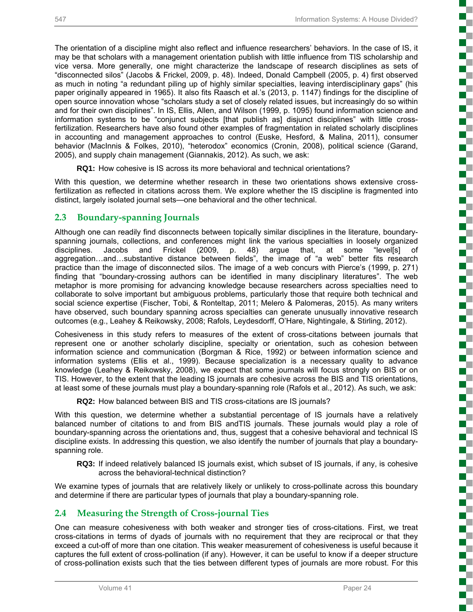į

is a company of the company of the company of the company of the company of the company of the company of the company of the company of the company of the company of the company of the company of the company of the company

i

į

ð

i

**Concert** 

 $\Box$ 

i

The orientation of a discipline might also reflect and influence researchers' behaviors. In the case of IS, it may be that scholars with a management orientation publish with little influence from TIS scholarship and vice versa. More generally, one might characterize the landscape of research disciplines as sets of "disconnected silos" (Jacobs & Frickel, 2009, p. 48). Indeed, Donald Campbell (2005, p. 4) first observed as much in noting "a redundant piling up of highly similar specialties, leaving interdisciplinary gaps" (his paper originally appeared in 1965). It also fits Raasch et al.'s (2013, p. 1147) findings for the discipline of open source innovation whose "scholars study a set of closely related issues, but increasingly do so within and for their own disciplines". In IS, Ellis, Allen, and Wilson (1999, p. 1095) found information science and information systems to be "conjunct subjects [that publish as] disjunct disciplines" with little crossfertilization. Researchers have also found other examples of fragmentation in related scholarly disciplines in accounting and management approaches to control (Euske, Hesford, & Malina, 2011), consumer behavior (MacInnis & Folkes, 2010), "heterodox" economics (Cronin, 2008), political science (Garand, 2005), and supply chain management (Giannakis, 2012). As such, we ask:

**RQ1:** How cohesive is IS across its more behavioral and technical orientations?

With this question, we determine whether research in these two orientations shows extensive crossfertilization as reflected in citations across them. We explore whether the IS discipline is fragmented into distinct, largely isolated journal sets—one behavioral and the other technical.

#### **2.3 Boundary-spanning Journals**

Although one can readily find disconnects between topically similar disciplines in the literature, boundaryspanning journals, collections, and conferences might link the various specialties in loosely organized disciplines. Jacobs and Frickel (2009, p. 48) argue that, at some "level[s] of disciplines. Jacobs and Frickel (2009, p. 48) argue that, at some "level[s] of aggregation…and…substantive distance between fields", the image of "a web" better fits research practice than the image of disconnected silos. The image of a web concurs with Pierce's (1999, p. 271) finding that "boundary-crossing authors can be identified in many disciplinary literatures". The web metaphor is more promising for advancing knowledge because researchers across specialties need to collaborate to solve important but ambiguous problems, particularly those that require both technical and social science expertise (Fischer, Tobi, & Ronteltap, 2011; Melero & Palomeras, 2015). As many writers have observed, such boundary spanning across specialties can generate unusually innovative research outcomes (e.g., Leahey & Reikowsky, 2008; Rafols, Leydesdorff, O'Hare, Nightingale, & Stirling, 2012).

Cohesiveness in this study refers to measures of the extent of cross-citations between journals that represent one or another scholarly discipline, specialty or orientation, such as cohesion between information science and communication (Borgman & Rice, 1992) or between information science and information systems (Ellis et al., 1999). Because specialization is a necessary quality to advance knowledge (Leahey & Reikowsky, 2008), we expect that some journals will focus strongly on BIS or on TIS. However, to the extent that the leading IS journals are cohesive across the BIS and TIS orientations, at least some of these journals must play a boundary-spanning role (Rafols et al., 2012). As such, we ask:

**RQ2:** How balanced between BIS and TIS cross-citations are IS journals?

With this question, we determine whether a substantial percentage of IS journals have a relatively balanced number of citations to and from BIS andTIS journals. These journals would play a role of boundary-spanning across the orientations and, thus, suggest that a cohesive behavioral and technical IS discipline exists. In addressing this question, we also identify the number of journals that play a boundaryspanning role.

**RQ3:** If indeed relatively balanced IS journals exist, which subset of IS journals, if any, is cohesive across the behavioral-technical distinction?

We examine types of journals that are relatively likely or unlikely to cross-pollinate across this boundary and determine if there are particular types of journals that play a boundary-spanning role.

## **2.4 Measuring the Strength of Cross-journal Ties**

One can measure cohesiveness with both weaker and stronger ties of cross-citations. First, we treat cross-citations in terms of dyads of journals with no requirement that they are reciprocal or that they exceed a cut-off of more than one citation. This weaker measurement of cohesiveness is useful because it captures the full extent of cross-pollination (if any). However, it can be useful to know if a deeper structure of cross-pollination exists such that the ties between different types of journals are more robust. For this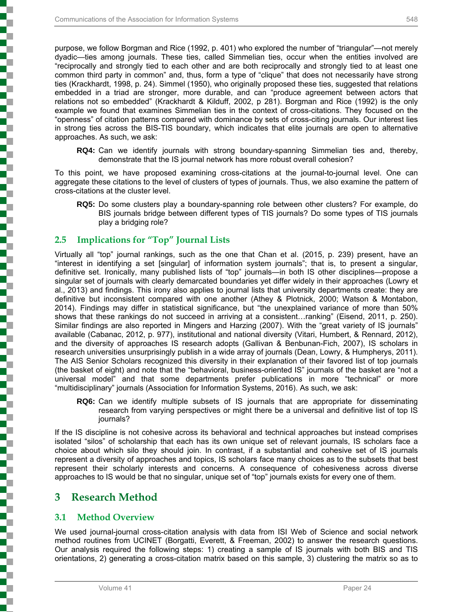į

purpose, we follow Borgman and Rice (1992, p. 401) who explored the number of "triangular"—not merely dyadic—ties among journals. These ties, called Simmelian ties, occur when the entities involved are "reciprocally and strongly tied to each other and are both reciprocally and strongly tied to at least one common third party in common" and, thus, form a type of "clique" that does not necessarily have strong ties (Krackhardt, 1998, p. 24). Simmel (1950), who originally proposed these ties, suggested that relations embedded in a triad are stronger, more durable, and can "produce agreement between actors that relations not so embedded" (Krackhardt & Kilduff, 2002, p 281). Borgman and Rice (1992) is the only example we found that examines Simmelian ties in the context of cross-citations. They focused on the "openness" of citation patterns compared with dominance by sets of cross-citing journals. Our interest lies in strong ties across the BIS-TIS boundary, which indicates that elite journals are open to alternative approaches. As such, we ask:

**RQ4:** Can we identify journals with strong boundary-spanning Simmelian ties and, thereby, demonstrate that the IS journal network has more robust overall cohesion?

To this point, we have proposed examining cross-citations at the journal-to-journal level. One can aggregate these citations to the level of clusters of types of journals. Thus, we also examine the pattern of cross-citations at the cluster level.

**RQ5:** Do some clusters play a boundary-spanning role between other clusters? For example, do BIS journals bridge between different types of TIS journals? Do some types of TIS journals play a bridging role?

## **2.5 Implications for "Top" Journal Lists**

Virtually all "top" journal rankings, such as the one that Chan et al. (2015, p. 239) present, have an "interest in identifying a set [singular] of information system journals"; that is, to present a singular, definitive set. Ironically, many published lists of "top" journals—in both IS other disciplines—propose a singular set of journals with clearly demarcated boundaries yet differ widely in their approaches (Lowry et al., 2013) and findings. This irony also applies to journal lists that university departments create: they are definitive but inconsistent compared with one another (Athey & Plotnick, 2000; Watson & Montabon, 2014). Findings may differ in statistical significance, but "the unexplained variance of more than 50% shows that these rankings do not succeed in arriving at a consistent…ranking" (Eisend, 2011, p. 250). Similar findings are also reported in Mingers and Harzing (2007). With the "great variety of IS journals" available (Cabanac, 2012, p. 977), institutional and national diversity (Vitari, Humbert, & Rennard, 2012), and the diversity of approaches IS research adopts (Gallivan & Benbunan-Fich, 2007), IS scholars in research universities unsurprisingly publish in a wide array of journals (Dean, Lowry, & Humpherys, 2011). The AIS Senior Scholars recognized this diversity in their explanation of their favored list of top journals (the basket of eight) and note that the "behavioral, business-oriented IS" journals of the basket are "not a universal model" and that some departments prefer publications in more "technical" or more "multidisciplinary" journals (Association for Information Systems, 2016). As such, we ask:

**RQ6:** Can we identify multiple subsets of IS journals that are appropriate for disseminating research from varying perspectives or might there be a universal and definitive list of top IS journals?

If the IS discipline is not cohesive across its behavioral and technical approaches but instead comprises isolated "silos" of scholarship that each has its own unique set of relevant journals, IS scholars face a choice about which silo they should join. In contrast, if a substantial and cohesive set of IS journals represent a diversity of approaches and topics, IS scholars face many choices as to the subsets that best represent their scholarly interests and concerns. A consequence of cohesiveness across diverse approaches to IS would be that no singular, unique set of "top" journals exists for every one of them.

## **3 Research Method**

## **3.1 Method Overview**

We used journal-journal cross-citation analysis with data from ISI Web of Science and social network method routines from UCINET (Borgatti, Everett, & Freeman, 2002) to answer the research questions. Our analysis required the following steps: 1) creating a sample of IS journals with both BIS and TIS orientations, 2) generating a cross-citation matrix based on this sample, 3) clustering the matrix so as to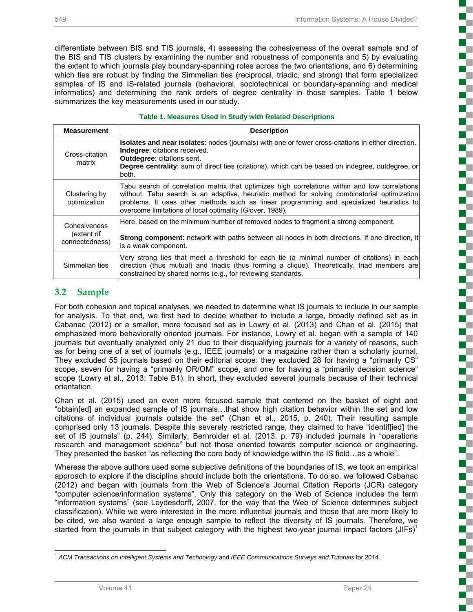differentiate between BIS and TIS journals, 4) assessing the cohesiveness of the overall sample and of the BIS and TIS clusters by examining the number and robustness of components and 5) by evaluating the extent to which journals play boundary-spanning roles across the two orientations, and 6) determining which ties are robust by finding the Simmelian ties (reciprocal, triadic, and strong) that form specialized samples of IS and IS-related journals (behavioral, sociotechnical or boundary-spanning and medical informatics) and determining the rank orders of degree centrality in those samples. Table 1 below summarizes the key measurements used in our study.

#### **Table 1. Measures Used in Study with Related Descriptions**

| <b>Measurement</b>                           | <b>Description</b>                                                                                                                                                                                                                                                                                                                                     |
|----------------------------------------------|--------------------------------------------------------------------------------------------------------------------------------------------------------------------------------------------------------------------------------------------------------------------------------------------------------------------------------------------------------|
| Cross-citation<br>matrix                     | Isolates and near isolates: nodes (journals) with one or fewer cross-citations in either direction.<br><b>Indegree:</b> citations received.<br><b>Outdegree: citations sent.</b><br><b>Degree centrality:</b> sum of direct ties (citations), which can be based on indegree, outdegree, or<br>both.                                                   |
| Clustering by<br>optimization                | Tabu search of correlation matrix that optimizes high correlations within and low correlations<br>without. Tabu search is an adaptive, heuristic method for solving combinatorial optimization<br>problems. It uses other methods such as linear programming and specialized heuristics to<br>overcome limitations of local optimality (Glover, 1989). |
| Cohesiveness<br>(extent of<br>connectedness) | Here, based on the minimum number of removed nodes to fragment a strong component.<br><b>Strong component:</b> network with paths between all nodes in both directions. If one direction, it<br>is a weak component.                                                                                                                                   |
| Simmelian ties                               | Very strong ties that meet a threshold for each tie (a minimal number of citations) in each<br>direction (thus mutual) and triadic (thus forming a clique). Theoretically, triad members are<br>constrained by shared norms (e.g., for reviewing standards.                                                                                            |

## **3.2 Sample**

For both cohesion and topical analyses, we needed to determine what IS journals to include in our sample for analysis. To that end, we first had to decide whether to include a large, broadly defined set as in Cabanac (2012) or a smaller, more focused set as in Lowry et al. (2013) and Chan et al. (2015) that emphasized more behaviorally oriented journals. For instance, Lowry et al. began with a sample of 140 journals but eventually analyzed only 21 due to their disqualifying journals for a variety of reasons, such as for being one of a set of journals (e.g., IEEE journals) or a magazine rather than a scholarly journal. They excluded 55 journals based on their editorial scope: they excluded 28 for having a "primarily CS" scope, seven for having a "primarily OR/OM" scope, and one for having a "primarily decision science" scope (Lowry et al., 2013: Table B1). In short, they excluded several journals because of their technical orientation.

Chan et al. (2015) used an even more focused sample that centered on the basket of eight and "obtain[ed] an expanded sample of IS journals…that show high citation behavior within the set and low citations of individual journals outside the set" (Chan et al., 2015, p. 240). Their resulting sample comprised only 13 journals. Despite this severely restricted range, they claimed to have "identif[ied] the set of IS journals" (p. 244). Similarly, Bernroider et al. (2013, p. 79) included journals in "operations research and management science" but not those oriented towards computer science or engineering. They presented the basket "as reflecting the core body of knowledge within the IS field…as a whole".

Whereas the above authors used some subjective definitions of the boundaries of IS, we took an empirical approach to explore if the discipline should include both the orientations. To do so, we followed Cabanac (2012) and began with journals from the Web of Science's Journal Citation Reports (JCR) category "computer science/information systems". Only this category on the Web of Science includes the term "information systems" (see Leydesdorff, 2007, for the way that the Web of Science determines subject classification). While we were interested in the more influential journals and those that are more likely to be cited, we also wanted a large enough sample to reflect the diversity of IS journals. Therefore, we started from the journals in that subject category with the highest two-year journal impact factors (JIFs)<sup>1</sup>

ĺ

c

į

T

į

l <sup>1</sup> *ACM Transactions on Intelligent Systems and Technology* and *IEEE Communications Surveys and Tutorials* for 2014.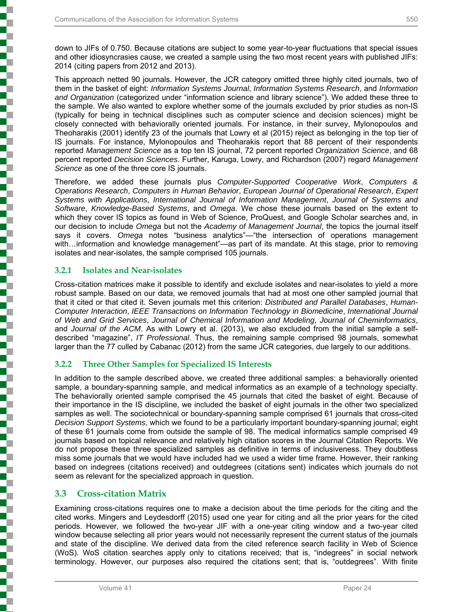down to JIFs of 0.750. Because citations are subject to some year-to-year fluctuations that special issues and other idiosyncrasies cause, we created a sample using the two most recent years with published JIFs: 2014 (citing papers from 2012 and 2013).

This approach netted 90 journals. However, the JCR category omitted three highly cited journals, two of them in the basket of eight: *Information Systems Journal*, *Information Systems Research*, and *Information and Organization* (categorized under "information science and library science"). We added these three to the sample. We also wanted to explore whether some of the journals excluded by prior studies as non-IS (typically for being in technical disciplines such as computer science and decision sciences) might be closely connected with behaviorally oriented journals. For instance, in their survey, Mylonopoulos and Theoharakis (2001) identify 23 of the journals that Lowry et al (2015) reject as belonging in the top tier of IS journals. For instance, Mylonopoulos and Theoharakis report that 88 percent of their respondents reported *Management Science* as a top ten IS journal, 72 percent reported *Organization Science*, and 68 percent reported *Decision Sciences*. Further, Karuga, Lowry, and Richardson (2007) regard *Management Science* as one of the three core IS journals.

Therefore, we added these journals plus *Computer-Supported Cooperative Work*, *Computers & Operations Research*, *Computers in Human Behavior*, *European Journal of Operational Research*, *Expert Systems with Applications*, *International Journal of Information Management*, *Journal of Systems and Software*, *Knowledge-Based Systems*, and *Omega*. We chose these journals based on the extent to which they cover IS topics as found in Web of Science, ProQuest, and Google Scholar searches and, in our decision to include *Omega* but not the *Academy of Management Journal*, the topics the journal itself says it covers. *Omega* notes "business analytics"—"the intersection of operations management with...information and knowledge management"—as part of its mandate. At this stage, prior to removing isolates and near-isolates, the sample comprised 105 journals.

#### **3.2.1 Isolates and Near-isolates**

j

į

Cross-citation matrices make it possible to identify and exclude isolates and near-isolates to yield a more robust sample. Based on our data, we removed journals that had at most one other sampled journal that that it cited or that cited it. Seven journals met this criterion: *Distributed and Parallel Databases*, *Human-Computer Interaction*, *IEEE Transactions on Information Technology in Biomedicine*, *International Journal of Web and Grid Services*, *Journal of Chemical Information and Modeling*, *Journal of Cheminformatics*, and *Journal of the ACM*. As with Lowry et al. (2013), we also excluded from the initial sample a selfdescribed "magazine", *IT Professional*. Thus, the remaining sample comprised 98 journals, somewhat larger than the 77 culled by Cabanac (2012) from the same JCR categories, due largely to our additions.

#### **3.2.2 Three Other Samples for Specialized IS Interests**

In addition to the sample described above, we created three additional samples: a behaviorally oriented sample, a boundary-spanning sample, and medical informatics as an example of a technology specialty. The behaviorally oriented sample comprised the 45 journals that cited the basket of eight. Because of their importance in the IS discipline, we included the basket of eight journals in the other two specialized samples as well. The sociotechnical or boundary-spanning sample comprised 61 journals that cross-cited *Decision Support Systems*, which we found to be a particularly important boundary-spanning journal; eight of these 61 journals come from outside the sample of 98. The medical informatics sample comprised 49 journals based on topical relevance and relatively high citation scores in the Journal Citation Reports. We do not propose these three specialized samples as definitive in terms of inclusiveness. They doubtless miss some journals that we would have included had we used a wider time frame. However, their ranking based on indegrees (citations received) and outdegrees (citations sent) indicates which journals do not seem as relevant for the specialized approach in question.

#### **3.3 Cross-citation Matrix**

Examining cross-citations requires one to make a decision about the time periods for the citing and the cited works. Mingers and Leydesdorff (2015) used one year for citing and all the prior years for the cited periods. However, we followed the two-year JIF with a one-year citing window and a two-year cited window because selecting all prior years would not necessarily represent the current status of the journals and state of the discipline. We derived data from the cited reference search facility in Web of Science (WoS). WoS citation searches apply only to citations received; that is, "indegrees" in social network terminology. However, our purposes also required the citations sent; that is, "outdegrees". With finite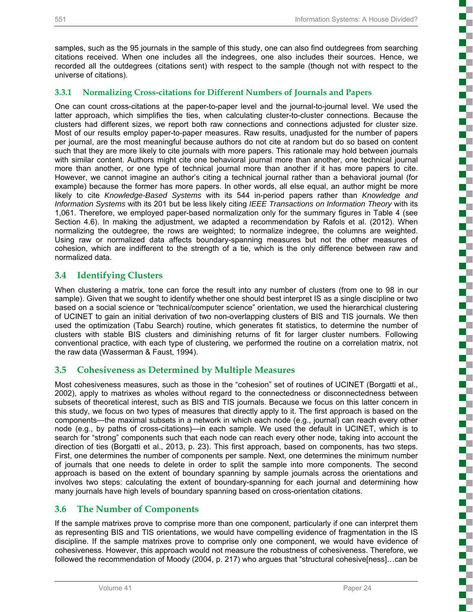į

i

Ŧ T. 2

Ş

į

3

S

Ŧ

į

 $\overline{\phantom{a}}$ 

i

samples, such as the 95 journals in the sample of this study, one can also find outdegrees from searching citations received. When one includes all the indegrees, one also includes their sources. Hence, we recorded all the outdegrees (citations sent) with respect to the sample (though not with respect to the universe of citations).

#### **3.3.1 Normalizing Cross-citations for Different Numbers of Journals and Papers**

One can count cross-citations at the paper-to-paper level and the journal-to-journal level. We used the latter approach, which simplifies the ties, when calculating cluster-to-cluster connections. Because the clusters had different sizes, we report both raw connections and connections adjusted for cluster size. Most of our results employ paper-to-paper measures. Raw results, unadjusted for the number of papers per journal, are the most meaningful because authors do not cite at random but do so based on content such that they are more likely to cite journals with more papers. This rationale may hold between journals with similar content. Authors might cite one behavioral journal more than another, one technical journal more than another, or one type of technical journal more than another if it has more papers to cite. However, we cannot imagine an author's citing a technical journal rather than a behavioral journal (for example) because the former has more papers. In other words, all else equal, an author might be more likely to cite *Knowledge-Based Systems* with its 544 in-period papers rather than *Knowledge and Information Systems* with its 201 but be less likely citing *IEEE Transactions on Information Theory* with its 1,061. Therefore, we employed paper-based normalization only for the summary figures in Table 4 (see Section 4.6). In making the adjustment, we adapted a recommendation by Rafols et al. (2012). When normalizing the outdegree, the rows are weighted; to normalize indegree, the columns are weighted. Using raw or normalized data affects boundary-spanning measures but not the other measures of cohesion, which are indifferent to the strength of a tie, which is the only difference between raw and normalized data.

#### **3.4 Identifying Clusters**

When clustering a matrix, tone can force the result into any number of clusters (from one to 98 in our sample). Given that we sought to identify whether one should best interpret IS as a single discipline or two based on a social science or "technical/computer science" orientation, we used the hierarchical clustering of UCINET to gain an initial derivation of two non-overlapping clusters of BIS and TIS journals. We then used the optimization (Tabu Search) routine, which generates fit statistics, to determine the number of clusters with stable BIS clusters and diminishing returns of fit for larger cluster numbers. Following conventional practice, with each type of clustering, we performed the routine on a correlation matrix, not the raw data (Wasserman & Faust, 1994).

## **3.5 Cohesiveness as Determined by Multiple Measures**

Most cohesiveness measures, such as those in the "cohesion" set of routines of UCINET (Borgatti et al., 2002), apply to matrixes as wholes without regard to the connectedness or disconnectedness between subsets of theoretical interest, such as BIS and TIS journals. Because we focus on this latter concern in this study, we focus on two types of measures that directly apply to it. The first approach is based on the components—the maximal subsets in a network in which each node (e.g., journal) can reach every other node (e.g., by paths of cross-citations)—in each sample. We used the default in UCINET, which is to search for "strong" components such that each node can reach every other node, taking into account the direction of ties (Borgatti et al., 2013, p. 23). This first approach, based on components, has two steps. First, one determines the number of components per sample. Next, one determines the minimum number of journals that one needs to delete in order to split the sample into more components. The second approach is based on the extent of boundary spanning by sample journals across the orientations and involves two steps: calculating the extent of boundary-spanning for each journal and determining how many journals have high levels of boundary spanning based on cross-orientation citations.

## **3.6 The Number of Components**

If the sample matrixes prove to comprise more than one component, particularly if one can interpret them as representing BIS and TIS orientations, we would have compelling evidence of fragmentation in the IS discipline. If the sample matrixes prove to comprise only one component, we would have evidence of cohesiveness. However, this approach would not measure the robustness of cohesiveness. Therefore, we followed the recommendation of Moody (2004, p. 217) who argues that "structural cohesive[ness]…can be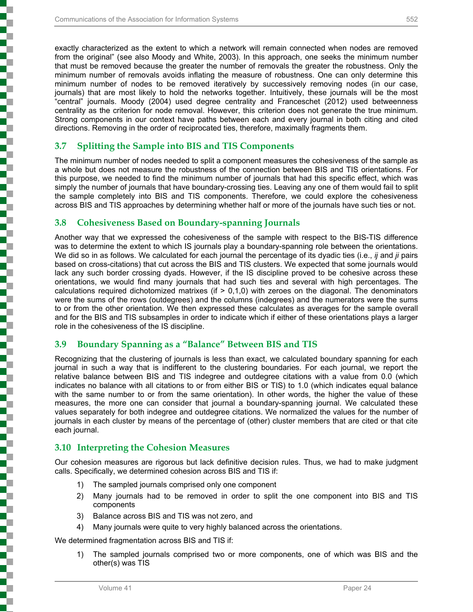exactly characterized as the extent to which a network will remain connected when nodes are removed from the original" (see also Moody and White, 2003). In this approach, one seeks the minimum number that must be removed because the greater the number of removals the greater the robustness. Only the minimum number of removals avoids inflating the measure of robustness. One can only determine this minimum number of nodes to be removed iteratively by successively removing nodes (in our case, journals) that are most likely to hold the networks together. Intuitively, these journals will be the most "central" journals. Moody (2004) used degree centrality and Franceschet (2012) used betweenness centrality as the criterion for node removal. However, this criterion does not generate the true minimum. Strong components in our context have paths between each and every journal in both citing and cited directions. Removing in the order of reciprocated ties, therefore, maximally fragments them.

## **3.7 Splitting the Sample into BIS and TIS Components**

The minimum number of nodes needed to split a component measures the cohesiveness of the sample as a whole but does not measure the robustness of the connection between BIS and TIS orientations. For this purpose, we needed to find the minimum number of journals that had this specific effect, which was simply the number of journals that have boundary-crossing ties. Leaving any one of them would fail to split the sample completely into BIS and TIS components. Therefore, we could explore the cohesiveness across BIS and TIS approaches by determining whether half or more of the journals have such ties or not.

## **3.8 Cohesiveness Based on Boundary-spanning Journals**

Another way that we expressed the cohesiveness of the sample with respect to the BIS-TIS difference was to determine the extent to which IS journals play a boundary-spanning role between the orientations. We did so in as follows. We calculated for each journal the percentage of its dyadic ties (i.e., *ij* and *ji* pairs based on cross-citations) that cut across the BIS and TIS clusters. We expected that some journals would lack any such border crossing dyads. However, if the IS discipline proved to be cohesive across these orientations, we would find many journals that had such ties and several with high percentages. The calculations required dichotomized matrixes (if  $> 0.1.0$ ) with zeroes on the diagonal. The denominators were the sums of the rows (outdegrees) and the columns (indegrees) and the numerators were the sums to or from the other orientation. We then expressed these calculates as averages for the sample overall and for the BIS and TIS subsamples in order to indicate which if either of these orientations plays a larger role in the cohesiveness of the IS discipline.

## **3.9 Boundary Spanning as a "Balance" Between BIS and TIS**

Recognizing that the clustering of journals is less than exact, we calculated boundary spanning for each journal in such a way that is indifferent to the clustering boundaries. For each journal, we report the relative balance between BIS and TIS indegree and outdegree citations with a value from 0.0 (which indicates no balance with all citations to or from either BIS or TIS) to 1.0 (which indicates equal balance with the same number to or from the same orientation). In other words, the higher the value of these measures, the more one can consider that journal a boundary-spanning journal. We calculated these values separately for both indegree and outdegree citations. We normalized the values for the number of journals in each cluster by means of the percentage of (other) cluster members that are cited or that cite each journal.

## **3.10 Interpreting the Cohesion Measures**

Our cohesion measures are rigorous but lack definitive decision rules. Thus, we had to make judgment calls. Specifically, we determined cohesion across BIS and TIS if:

- 1) The sampled journals comprised only one component
- 2) Many journals had to be removed in order to split the one component into BIS and TIS components
- 3) Balance across BIS and TIS was not zero, and
- 4) Many journals were quite to very highly balanced across the orientations.

We determined fragmentation across BIS and TIS if:

1) The sampled journals comprised two or more components, one of which was BIS and the other(s) was TIS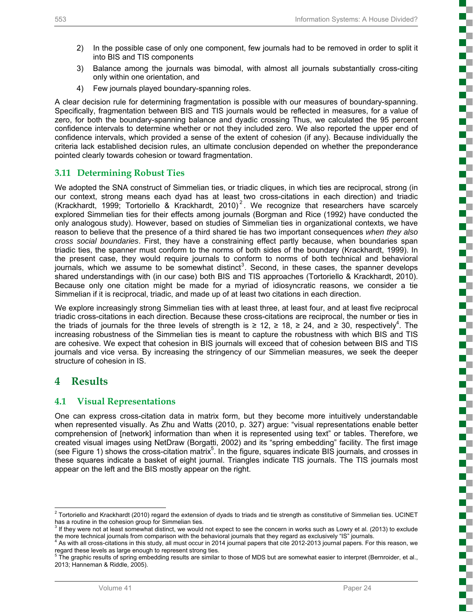$\mathbb{R}^n$ 

こうしょう こうしょう

2

ĺ

į

į

ď.

i<br>Saabada

is and the control

- 2) In the possible case of only one component, few journals had to be removed in order to split it into BIS and TIS components
- 3) Balance among the journals was bimodal, with almost all journals substantially cross-citing only within one orientation, and
- 4) Few journals played boundary-spanning roles.

A clear decision rule for determining fragmentation is possible with our measures of boundary-spanning. Specifically, fragmentation between BIS and TIS journals would be reflected in measures, for a value of zero, for both the boundary-spanning balance and dyadic crossing Thus, we calculated the 95 percent confidence intervals to determine whether or not they included zero. We also reported the upper end of confidence intervals, which provided a sense of the extent of cohesion (if any). Because individually the criteria lack established decision rules, an ultimate conclusion depended on whether the preponderance pointed clearly towards cohesion or toward fragmentation.

#### **3.11 Determining Robust Ties**

We adopted the SNA construct of Simmelian ties, or triadic cliques, in which ties are reciprocal, strong (in our context, strong means each dyad has at least two cross-citations in each direction) and triadic (Krackhardt, 1999; Tortoriello & Krackhardt, 2010)<sup>2</sup>. We recognize that researchers have scarcely explored Simmelian ties for their effects among journals (Borgman and Rice (1992) have conducted the only analogous study). However, based on studies of Simmelian ties in organizational contexts, we have reason to believe that the presence of a third shared tie has two important consequences *when they also cross social boundaries*. First, they have a constraining effect partly because, when boundaries span triadic ties, the spanner must conform to the norms of both sides of the boundary (Krackhardt, 1999). In the present case, they would require journals to conform to norms of both technical and behavioral journals, which we assume to be somewhat distinct<sup>3</sup>. Second, in these cases, the spanner develops shared understandings with (in our case) both BIS and TIS approaches (Tortoriello & Krackhardt, 2010). Because only one citation might be made for a myriad of idiosyncratic reasons, we consider a tie Simmelian if it is reciprocal, triadic, and made up of at least two citations in each direction.

We explore increasingly strong Simmelian ties with at least three, at least four, and at least five reciprocal triadic cross-citations in each direction. Because these cross-citations are reciprocal, the number or ties in the triads of journals for the three levels of strength is  $\geq 12$ ,  $\geq 18$ ,  $\geq 24$ , and  $\geq 30$ , respectively<sup>4</sup>. The increasing robustness of the Simmelian ties is meant to capture the robustness with which BIS and TIS are cohesive. We expect that cohesion in BIS journals will exceed that of cohesion between BIS and TIS journals and vice versa. By increasing the stringency of our Simmelian measures, we seek the deeper structure of cohesion in IS.

## **4 Results**

#### **4.1 Visual Representations**

One can express cross-citation data in matrix form, but they become more intuitively understandable when represented visually. As Zhu and Watts (2010, p. 327) argue: "visual representations enable better comprehension of [network] information than when it is represented using text" or tables. Therefore, we created visual images using NetDraw (Borgatti, 2002) and its "spring embedding" facility. The first image (see Figure 1) shows the cross-citation matrix<sup>5</sup>. In the figure, squares indicate BIS journals, and crosses in these squares indicate a basket of eight journal. Triangles indicate TIS journals. The TIS journals most appear on the left and the BIS mostly appear on the right.

 $^2$  Tortoriello and Krackhardt (2010) regard the extension of dyads to triads and tie strength as constitutive of Simmelian ties. UCINET has a routine in the cohesion group for Simmelian ties.

If they were not at least somewhat distinct, we would not expect to see the concern in works such as Lowry et al. (2013) to exclude the more technical journals from comparison with the behavioral journals that they regard as exclusively "IS" journals. 4

<sup>&</sup>lt;sup>4</sup> As with all cross-citations in this study, all must occur in 2014 journal papers that cite 2012-2013 journal papers. For this reason, we regard these levels as large enough to represent strong ties.

 $5$  The graphic results of spring embedding results are similar to those of MDS but are somewhat easier to interpret (Bernroider, et al., 2013; Hanneman & Riddle, 2005).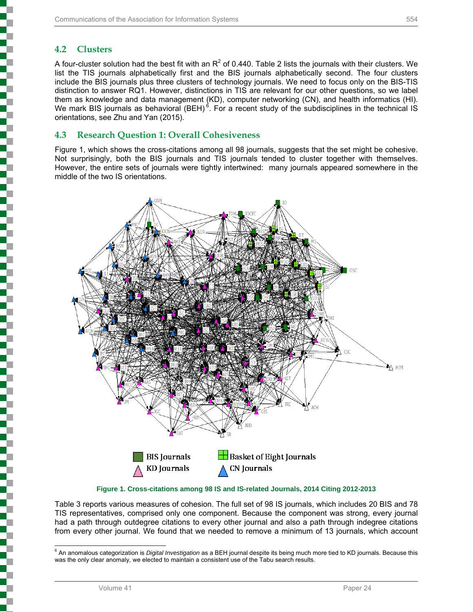## **4.2 Clusters**

A four-cluster solution had the best fit with an  $R^2$  of 0.440. Table 2 lists the journals with their clusters. We list the TIS journals alphabetically first and the BIS journals alphabetically second. The four clusters include the BIS journals plus three clusters of technology journals. We need to focus only on the BIS-TIS distinction to answer RQ1. However, distinctions in TIS are relevant for our other questions, so we label them as knowledge and data management (KD), computer networking (CN), and health informatics (HI). We mark BIS journals as behavioral  $(BEH)^6$ . For a recent study of the subdisciplines in the technical IS orientations, see Zhu and Yan (2015).

#### **4.3 Research Question 1: Overall Cohesiveness**

Figure 1, which shows the cross-citations among all 98 journals, suggests that the set might be cohesive. Not surprisingly, both the BIS journals and TIS journals tended to cluster together with themselves. However, the entire sets of journals were tightly intertwined: many journals appeared somewhere in the middle of the two IS orientations.



**Figure 1. Cross-citations among 98 IS and IS-related Journals, 2014 Citing 2012-2013** 

Table 3 reports various measures of cohesion. The full set of 98 IS journals, which includes 20 BIS and 78 TIS representatives, comprised only one component. Because the component was strong, every journal had a path through outdegree citations to every other journal and also a path through indegree citations from every other journal. We found that we needed to remove a minimum of 13 journals, which account

 6 An anomalous categorization is *Digital Investigation* as a BEH journal despite its being much more tied to KD journals. Because this was the only clear anomaly, we elected to maintain a consistent use of the Tabu search results.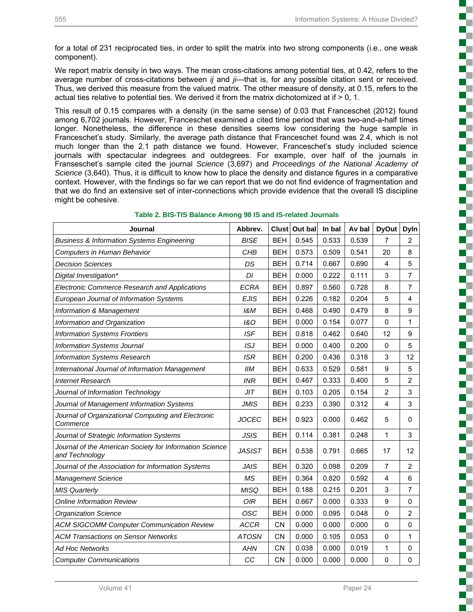T

U.

for a total of 231 reciprocated ties, in order to split the matrix into two strong components (i.e., one weak component).

We report matrix density in two ways. The mean cross-citations among potential ties, at 0.42, refers to the average number of cross-citations between *ij* and *ji*—that is, for any possible citation sent or received. Thus, we derived this measure from the valued matrix. The other measure of density, at 0.15, refers to the actual ties relative to potential ties. We derived it from the matrix dichotomized at if  $> 0$ , 1.

This result of 0.15 compares with a density (in the same sense) of 0.03 that Franceschet (2012) found among 6,702 journals. However, Franceschet examined a cited time period that was two-and-a-half times longer. Nonetheless, the difference in these densities seems low considering the huge sample in Franceschet's study. Similarly, the average path distance that Franceschet found was 2.4, which is not much longer than the 2.1 path distance we found. However, Franceschet's study included science journals with spectacular indegrees and outdegrees. For example, over half of the journals in Franseschet's sample cited the journal *Science* (3,697) and *Proceedings of the National Academy of Science* (3,640). Thus, it is difficult to know how to place the density and distance figures in a comparative context. However, with the findings so far we can report that we do not find evidence of fragmentation and that we do find an extensive set of inter-connections which provide evidence that the overall IS discipline might be cohesive.

| <b>Journal</b>                                                            | Abbrev.        |            | Clust Out bal | In bal | Av bal | <b>DyOut</b>   | <b>Dyln</b>    |
|---------------------------------------------------------------------------|----------------|------------|---------------|--------|--------|----------------|----------------|
| <b>Business &amp; Information Systems Engineering</b>                     | <b>BISE</b>    | <b>BEH</b> | 0.545         | 0.533  | 0.539  | 7              | $\overline{2}$ |
| Computers in Human Behavior                                               | CHB            | <b>BEH</b> | 0.573         | 0.509  | 0.541  | 20             | 8              |
| <b>Decision Sciences</b>                                                  | DS             | <b>BEH</b> | 0.714         | 0.667  | 0.690  | $\overline{4}$ | 5              |
| Digital Investigation*                                                    | DI             | <b>BEH</b> | 0.000         | 0.222  | 0.111  | 3              | $\overline{7}$ |
| <b>Electronic Commerce Research and Applications</b>                      | <b>ECRA</b>    | <b>BEH</b> | 0.897         | 0.560  | 0.728  | 8              | $\overline{7}$ |
| European Journal of Information Systems                                   | <b>EJIS</b>    | <b>BEH</b> | 0.226         | 0.182  | 0.204  | 5              | $\overline{4}$ |
| <b>Information &amp; Management</b>                                       | 18M            | <b>BEH</b> | 0.468         | 0.490  | 0.479  | 8              | 9              |
| Information and Organization                                              | <b>1&amp;O</b> | <b>BEH</b> | 0.000         | 0.154  | 0.077  | $\mathbf 0$    | 1              |
| <b>Information Systems Frontiers</b>                                      | <b>ISF</b>     | <b>BEH</b> | 0.818         | 0.462  | 0.640  | 12             | 9              |
| <b>Information Systems Journal</b>                                        | ISJ            | <b>BEH</b> | 0.000         | 0.400  | 0.200  | $\mathbf 0$    | 5              |
| <b>Information Systems Research</b>                                       | <b>ISR</b>     | <b>BEH</b> | 0.200         | 0.436  | 0.318  | 3              | 12             |
| International Journal of Information Management                           | IIM            | <b>BEH</b> | 0.633         | 0.529  | 0.581  | 9              | 5              |
| <b>Internet Research</b>                                                  | <b>INR</b>     | <b>BEH</b> | 0.467         | 0.333  | 0.400  | 5              | $\overline{2}$ |
| Journal of Information Technology                                         | JIT            | <b>BEH</b> | 0.103         | 0.205  | 0.154  | $\overline{2}$ | 3              |
| Journal of Management Information Systems                                 | <b>JMIS</b>    | <b>BEH</b> | 0.233         | 0.390  | 0.312  | 4              | 3              |
| Journal of Organizational Computing and Electronic<br>Commerce            | <b>JOCEC</b>   | <b>BEH</b> | 0.923         | 0.000  | 0.462  | 5              | $\mathbf 0$    |
| Journal of Strategic Information Systems                                  | <b>JSIS</b>    | <b>BEH</b> | 0.114         | 0.381  | 0.248  | 1              | 3              |
| Journal of the American Society for Information Science<br>and Technology | <b>JASIST</b>  | <b>BEH</b> | 0.538         | 0.791  | 0.665  | 17             | 12             |
| Journal of the Association for Information Systems                        | <b>JAIS</b>    | <b>BEH</b> | 0.320         | 0.098  | 0.209  | $\overline{7}$ | $\overline{2}$ |
| <b>Management Science</b>                                                 | MS             | <b>BEH</b> | 0.364         | 0.820  | 0.592  | $\overline{4}$ | 6              |
| <b>MIS Quarterly</b>                                                      | <b>MISQ</b>    | <b>BEH</b> | 0.188         | 0.215  | 0.201  | $\mathsf 3$    | 7              |
| <b>Online Information Review</b>                                          | <b>OIR</b>     | <b>BEH</b> | 0.667         | 0.000  | 0.333  | 9              | 0              |
| <b>Organization Science</b>                                               | <b>OSC</b>     | <b>BEH</b> | 0.000         | 0.095  | 0.048  | 0              | $\overline{2}$ |
| <b>ACM SIGCOMM Computer Communication Review</b>                          | <b>ACCR</b>    | <b>CN</b>  | 0.000         | 0.000  | 0.000  | $\mathbf{0}$   | $\mathbf 0$    |
| <b>ACM Transactions on Sensor Networks</b>                                | <b>ATOSN</b>   | <b>CN</b>  | 0.000         | 0.105  | 0.053  | $\mathbf 0$    | 1              |
| <b>Ad Hoc Networks</b>                                                    | <b>AHN</b>     | <b>CN</b>  | 0.038         | 0.000  | 0.019  | 1              | $\mathbf 0$    |
| <b>Computer Communications</b>                                            | CC             | <b>CN</b>  | 0.000         | 0.000  | 0.000  | 0              | 0              |

#### **Table 2. BIS-TIS Balance Among 98 IS and IS-related Journals**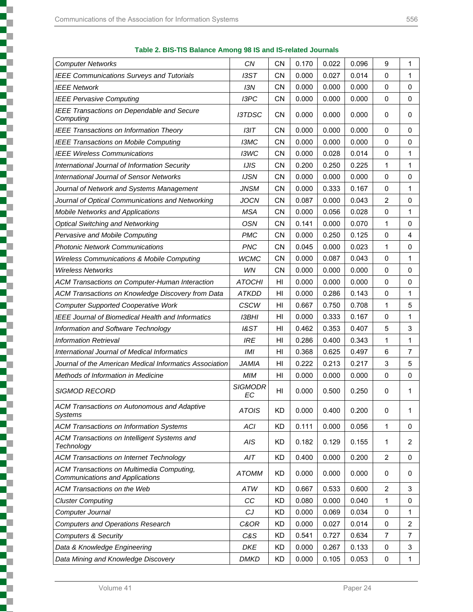|     | ٠            | ۹<br>v |  |
|-----|--------------|--------|--|
| . . | . .<br>- - - |        |  |

| Table 2. BIS-TIS Balance Among 98 IS and IS-related Journals |  |  |
|--------------------------------------------------------------|--|--|
|--------------------------------------------------------------|--|--|

| <b>Computer Networks</b>                                                     | <b>CN</b>            | CN             | 0.170 | 0.022 | 0.096 | 9              | 1              |
|------------------------------------------------------------------------------|----------------------|----------------|-------|-------|-------|----------------|----------------|
| <b>IEEE Communications Surveys and Tutorials</b>                             | ISST                 | <b>CN</b>      | 0.000 | 0.027 | 0.014 | 0              | 1              |
| <b>IEEE Network</b>                                                          | 13N                  | <b>CN</b>      | 0.000 | 0.000 | 0.000 | 0              | $\mathbf 0$    |
| <b>IEEE Pervasive Computing</b>                                              | I3PC                 | <b>CN</b>      | 0.000 | 0.000 | 0.000 | 0              | 0              |
| <b>IEEE Transactions on Dependable and Secure</b><br>Computing               | <b>I3TDSC</b>        | <b>CN</b>      | 0.000 | 0.000 | 0.000 | 0              | 0              |
| <b>IEEE Transactions on Information Theory</b>                               | 131T                 | <b>CN</b>      | 0.000 | 0.000 | 0.000 | $\mathbf 0$    | 0              |
| <b>IEEE Transactions on Mobile Computing</b>                                 | <b>I3MC</b>          | <b>CN</b>      | 0.000 | 0.000 | 0.000 | $\mathbf 0$    | $\mathbf 0$    |
| <b>IEEE Wireless Communications</b>                                          | I3WC                 | <b>CN</b>      | 0.000 | 0.028 | 0.014 | 0              | $\mathbf{1}$   |
| International Journal of Information Security                                | <b>IJIS</b>          | CΝ             | 0.200 | 0.250 | 0.225 | 1              | 1              |
| <b>International Journal of Sensor Networks</b>                              | <b>IJSN</b>          | <b>CN</b>      | 0.000 | 0.000 | 0.000 | $\mathbf 0$    | $\Omega$       |
| Journal of Network and Systems Management                                    | <b>JNSM</b>          | <b>CN</b>      | 0.000 | 0.333 | 0.167 | $\mathbf 0$    | 1              |
| Journal of Optical Communications and Networking                             | <b>JOCN</b>          | <b>CN</b>      | 0.087 | 0.000 | 0.043 | 2              | $\Omega$       |
| <b>Mobile Networks and Applications</b>                                      | <b>MSA</b>           | <b>CN</b>      | 0.000 | 0.056 | 0.028 | 0              | 1              |
| <b>Optical Switching and Networking</b>                                      | <b>OSN</b>           | <b>CN</b>      | 0.141 | 0.000 | 0.070 | 1              | $\mathbf 0$    |
| Pervasive and Mobile Computing                                               | <b>PMC</b>           | <b>CN</b>      | 0.000 | 0.250 | 0.125 | 0              | 4              |
| <b>Photonic Network Communications</b>                                       | <b>PNC</b>           | <b>CN</b>      | 0.045 | 0.000 | 0.023 | 1              | $\mathbf 0$    |
| <b>Wireless Communications &amp; Mobile Computing</b>                        | <b>WCMC</b>          | <b>CN</b>      | 0.000 | 0.087 | 0.043 | $\mathbf 0$    | 1              |
| <b>Wireless Networks</b>                                                     | WN                   | <b>CN</b>      | 0.000 | 0.000 | 0.000 | 0              | $\mathbf 0$    |
| ACM Transactions on Computer-Human Interaction                               | <b>ATOCHI</b>        | H <sub>l</sub> | 0.000 | 0.000 | 0.000 | 0              | $\mathbf 0$    |
| ACM Transactions on Knowledge Discovery from Data                            | <b>ATKDD</b>         | HI             | 0.000 | 0.286 | 0.143 | 0              | 1              |
| <b>Computer Supported Cooperative Work</b>                                   | <b>CSCW</b>          | H <sub>l</sub> | 0.667 | 0.750 | 0.708 | 1              | 5              |
| <b>IEEE Journal of Biomedical Health and Informatics</b>                     | <b>I3BHI</b>         | HI             | 0.000 | 0.333 | 0.167 | 0              | 1              |
| Information and Software Technology                                          | <b>1&amp;ST</b>      | H <sub>l</sub> | 0.462 | 0.353 | 0.407 | 5              | 3              |
| <i><b>Information Retrieval</b></i>                                          | <b>IRE</b>           | HI             | 0.286 | 0.400 | 0.343 | 1              | 1              |
| International Journal of Medical Informatics                                 | IMI                  | H <sub>l</sub> | 0.368 | 0.625 | 0.497 | 6              | $\overline{7}$ |
| Journal of the American Medical Informatics Association                      | <b>JAMIA</b>         | HI             | 0.222 | 0.213 | 0.217 | 3              | 5              |
| Methods of Information in Medicine                                           | <b>MIM</b>           | HI             | 0.000 | 0.000 | 0.000 | 0              | $\Omega$       |
| <b>SIGMOD RECORD</b>                                                         | <b>SIGMODR</b><br>EC | HI             | 0.000 | 0.500 | 0.250 | 0              | 1              |
| <b>ACM Transactions on Autonomous and Adaptive</b><br><b>Systems</b>         | <b>ATOIS</b>         | <b>KD</b>      | 0.000 | 0.400 | 0.200 | 0              | 1              |
| <b>ACM Transactions on Information Systems</b>                               | ACI                  | <b>KD</b>      | 0.111 | 0.000 | 0.056 | 1              | 0              |
| ACM Transactions on Intelligent Systems and<br>Technology                    | AIS                  | <b>KD</b>      | 0.182 | 0.129 | 0.155 | 1              | 2              |
| <b>ACM Transactions on Internet Technology</b>                               | AIT                  | <b>KD</b>      | 0.400 | 0.000 | 0.200 | $\overline{2}$ | 0              |
| ACM Transactions on Multimedia Computing,<br>Communications and Applications | <b>ATOMM</b>         | <b>KD</b>      | 0.000 | 0.000 | 0.000 | 0              | 0              |
| <b>ACM Transactions on the Web</b>                                           | ATW                  | KD             | 0.667 | 0.533 | 0.600 | $\overline{2}$ | 3              |
| <b>Cluster Computing</b>                                                     | CC                   | <b>KD</b>      | 0.080 | 0.000 | 0.040 | 1              | $\mathbf 0$    |
| Computer Journal                                                             | CJ                   | KD             | 0.000 | 0.069 | 0.034 | 0              | 1              |
| <b>Computers and Operations Research</b>                                     | C&OR                 | <b>KD</b>      | 0.000 | 0.027 | 0.014 | 0              | $\overline{2}$ |
| Computers & Security                                                         | C&S                  | KD             | 0.541 | 0.727 | 0.634 | 7              | 7              |
| Data & Knowledge Engineering                                                 | DKE                  | <b>KD</b>      | 0.000 | 0.267 | 0.133 | 0              | 3              |
| Data Mining and Knowledge Discovery                                          | <b>DMKD</b>          | <b>KD</b>      | 0.000 | 0.105 | 0.053 | $\pmb{0}$      | $\mathbf{1}$   |
|                                                                              |                      |                |       |       |       |                |                |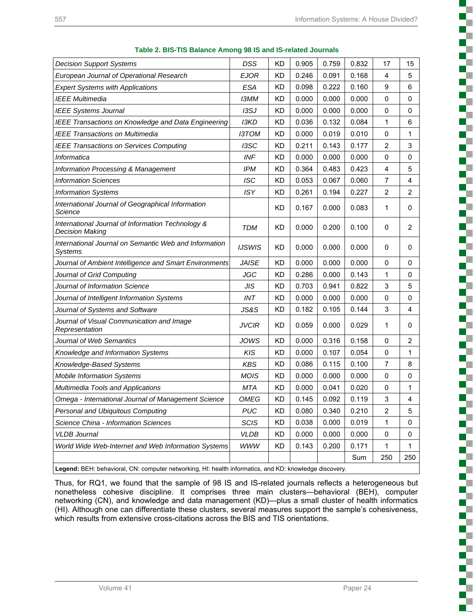a sa Ba

T L

c

I. г

c H. T c c ₹

r. c C,

> C г H

g

r. г

S

**The Second Second** c

ç. T ď.

Ş

г F

| <b>Decision Support Systems</b>                                                                        | <b>DSS</b>    | <b>KD</b> | 0.905 | 0.759 | 0.832 | 17             | 15             |
|--------------------------------------------------------------------------------------------------------|---------------|-----------|-------|-------|-------|----------------|----------------|
| European Journal of Operational Research                                                               | <b>EJOR</b>   | KD        | 0.246 | 0.091 | 0.168 | 4              | 5              |
| <b>Expert Systems with Applications</b>                                                                | <b>ESA</b>    | <b>KD</b> | 0.098 | 0.222 | 0.160 | 9              | 6              |
| <b>IEEE Multimedia</b>                                                                                 | <b>I3MM</b>   | KD        | 0.000 | 0.000 | 0.000 | 0              | 0              |
| <b>IEEE Systems Journal</b>                                                                            | 13SJ          | <b>KD</b> | 0.000 | 0.000 | 0.000 | 0              | $\mathbf 0$    |
| <b>IEEE Transactions on Knowledge and Data Engineering</b>                                             | <b>I3KD</b>   | KD        | 0.036 | 0.132 | 0.084 | 1              | 6              |
| IEEE Transactions on Multimedia                                                                        | <b>I3TOM</b>  | KD        | 0.000 | 0.019 | 0.010 | 0              | 1              |
| <b>IEEE Transactions on Services Computing</b>                                                         | I3SC          | KD        | 0.211 | 0.143 | 0.177 | $\overline{c}$ | 3              |
| Informatica                                                                                            | <b>INF</b>    | KD        | 0.000 | 0.000 | 0.000 | 0              | $\mathbf 0$    |
| <b>Information Processing &amp; Management</b>                                                         | <b>IPM</b>    | KD        | 0.364 | 0.483 | 0.423 | 4              | 5              |
| <b>Information Sciences</b>                                                                            | <b>ISC</b>    | <b>KD</b> | 0.053 | 0.067 | 0.060 | $\overline{7}$ | 4              |
| <b>Information Systems</b>                                                                             | <b>ISY</b>    | KD        | 0.261 | 0.194 | 0.227 | 2              | $\overline{c}$ |
| International Journal of Geographical Information<br>Science                                           |               | KD        | 0.167 | 0.000 | 0.083 | 1              | 0              |
| International Journal of Information Technology &<br><b>Decision Making</b>                            | TDM           | КD        | 0.000 | 0.200 | 0.100 | 0              | 2              |
| International Journal on Semantic Web and Information<br>Systems                                       | <b>IJSWIS</b> | ΚD        | 0.000 | 0.000 | 0.000 | 0              | 0              |
| Journal of Ambient Intelligence and Smart Environments                                                 | <b>JAISE</b>  | <b>KD</b> | 0.000 | 0.000 | 0.000 | 0              | 0              |
| Journal of Grid Computing                                                                              | JGC           | KD        | 0.286 | 0.000 | 0.143 | 1              | 0              |
| Journal of Information Science                                                                         | JIS           | KD        | 0.703 | 0.941 | 0.822 | 3              | 5              |
| Journal of Intelligent Information Systems                                                             | <b>INT</b>    | KD        | 0.000 | 0.000 | 0.000 | 0              | $\mathbf 0$    |
| Journal of Systems and Software                                                                        | JS&S          | <b>KD</b> | 0.182 | 0.105 | 0.144 | 3              | 4              |
| Journal of Visual Communication and Image<br>Representation                                            | <b>JVCIR</b>  | KD        | 0.059 | 0.000 | 0.029 | 1              | 0              |
| Journal of Web Semantics                                                                               | JOWS          | KD        | 0.000 | 0.316 | 0.158 | 0              | $\overline{2}$ |
| Knowledge and Information Systems                                                                      | <b>KIS</b>    | KD        | 0.000 | 0.107 | 0.054 | 0              | 1              |
| Knowledge-Based Systems                                                                                | <b>KBS</b>    | <b>KD</b> | 0.086 | 0.115 | 0.100 | 7              | 8              |
| <b>Mobile Information Systems</b>                                                                      | <b>MOIS</b>   | <b>KD</b> | 0.000 | 0.000 | 0.000 | 0              | $\mathbf 0$    |
| Multimedia Tools and Applications                                                                      | <b>MTA</b>    | KD        | 0.000 | 0.041 | 0.020 | 0              | 1              |
| Omega - International Journal of Management Science                                                    | <b>OMEG</b>   | <b>KD</b> | 0.145 | 0.092 | 0.119 | 3              | 4              |
| Personal and Ubiquitous Computing                                                                      | <b>PUC</b>    | <b>KD</b> | 0.080 | 0.340 | 0.210 | $\overline{2}$ | 5              |
| Science China - Information Sciences                                                                   | <b>SCIS</b>   | KD        | 0.038 | 0.000 | 0.019 | 1              | 0              |
| <b>VLDB</b> Journal                                                                                    | <b>VLDB</b>   | <b>KD</b> | 0.000 | 0.000 | 0.000 | 0              | 0              |
| World Wide Web-Internet and Web Information Systems                                                    | <b>WWW</b>    | <b>KD</b> | 0.143 | 0.200 | 0.171 | 1              | $\mathbf{1}$   |
|                                                                                                        |               |           |       |       | Sum   | 250            | 250            |
| Legend: BEH: behavioral, CN: computer networking, HI: health informatics, and KD: knowledge discovery. |               |           |       |       |       |                |                |

**Table 2. BIS-TIS Balance Among 98 IS and IS-related Journals** 

Thus, for RQ1, we found that the sample of 98 IS and IS-related journals reflects a heterogeneous but nonetheless cohesive discipline. It comprises three main clusters—behavioral (BEH), computer networking (CN), and knowledge and data management (KD)—plus a small cluster of health informatics (HI). Although one can differentiate these clusters, several measures support the sample's cohesiveness, which results from extensive cross-citations across the BIS and TIS orientations.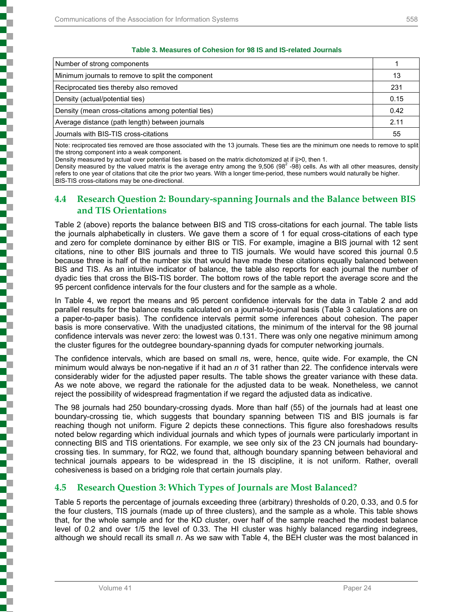į

l

(の)のことをある (の) にっぽん (の) にっぽん (の) にっぽん (の) にっぽん

#### **Table 3. Measures of Cohesion for 98 IS and IS-related Journals**

| Number of strong components                         |      |
|-----------------------------------------------------|------|
| Minimum journals to remove to split the component   | 13   |
| Reciprocated ties thereby also removed              | 231  |
| Density (actual/potential ties)                     | 0.15 |
| Density (mean cross-citations among potential ties) | 0.42 |
| Average distance (path length) between journals     | 2.11 |
| Journals with BIS-TIS cross-citations               | 55   |

Note: reciprocated ties removed are those associated with the 13 journals. These ties are the minimum one needs to remove to split the strong component into a weak component.

Density measured by actual over potential ties is based on the matrix dichotomized at if ij>0, then 1.

Density measured by the valued matrix is the average entry among the 9,506 (98<sup>2</sup> -98) cells. As with all other measures, density refers to one year of citations that cite the prior two years. With a longer time-period, these numbers would naturally be higher. BIS-TIS cross-citations may be one-directional.

## **4.4 Research Question 2: Boundary-spanning Journals and the Balance between BIS and TIS Orientations**

Table 2 (above) reports the balance between BIS and TIS cross-citations for each journal. The table lists the journals alphabetically in clusters. We gave them a score of 1 for equal cross-citations of each type and zero for complete dominance by either BIS or TIS. For example, imagine a BIS journal with 12 sent citations, nine to other BIS journals and three to TIS journals. We would have scored this journal 0.5 because three is half of the number six that would have made these citations equally balanced between BIS and TIS. As an intuitive indicator of balance, the table also reports for each journal the number of dyadic ties that cross the BIS-TIS border. The bottom rows of the table report the average score and the 95 percent confidence intervals for the four clusters and for the sample as a whole.

In Table 4, we report the means and 95 percent confidence intervals for the data in Table 2 and add parallel results for the balance results calculated on a journal-to-journal basis (Table 3 calculations are on a paper-to-paper basis). The confidence intervals permit some inferences about cohesion. The paper basis is more conservative. With the unadjusted citations, the minimum of the interval for the 98 journal confidence intervals was never zero: the lowest was 0.131. There was only one negative minimum among the cluster figures for the outdegree boundary-spanning dyads for computer networking journals.

The confidence intervals, which are based on small *n*s, were, hence, quite wide. For example, the CN minimum would always be non-negative if it had an *n* of 31 rather than 22. The confidence intervals were considerably wider for the adjusted paper results. The table shows the greater variance with these data. As we note above, we regard the rationale for the adjusted data to be weak. Nonetheless, we cannot reject the possibility of widespread fragmentation if we regard the adjusted data as indicative.

The 98 journals had 250 boundary-crossing dyads. More than half (55) of the journals had at least one boundary-crossing tie, which suggests that boundary spanning between TIS and BIS journals is far reaching though not uniform. Figure 2 depicts these connections. This figure also foreshadows results noted below regarding which individual journals and which types of journals were particularly important in connecting BIS and TIS orientations. For example, we see only six of the 23 CN journals had boundarycrossing ties. In summary, for RQ2, we found that, although boundary spanning between behavioral and technical journals appears to be widespread in the IS discipline, it is not uniform. Rather, overall cohesiveness is based on a bridging role that certain journals play.

## **4.5 Research Question 3: Which Types of Journals are Most Balanced?**

Table 5 reports the percentage of journals exceeding three (arbitrary) thresholds of 0.20, 0.33, and 0.5 for the four clusters, TIS journals (made up of three clusters), and the sample as a whole. This table shows that, for the whole sample and for the KD cluster, over half of the sample reached the modest balance level of 0.2 and over 1/5 the level of 0.33. The HI cluster was highly balanced regarding indegrees, although we should recall its small *n*. As we saw with Table 4, the BEH cluster was the most balanced in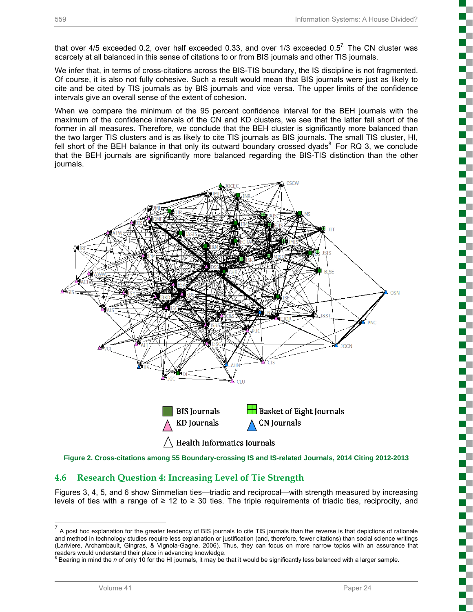that over 4/5 exceeded 0.2, over half exceeded 0.33, and over 1/3 exceeded 0.5<sup>7.</sup> The CN cluster was scarcely at all balanced in this sense of citations to or from BIS journals and other TIS journals.

We infer that, in terms of cross-citations across the BIS-TIS boundary, the IS discipline is not fragmented. Of course, it is also not fully cohesive. Such a result would mean that BIS journals were just as likely to cite and be cited by TIS journals as by BIS journals and vice versa. The upper limits of the confidence intervals give an overall sense of the extent of cohesion.

When we compare the minimum of the 95 percent confidence interval for the BEH journals with the maximum of the confidence intervals of the CN and KD clusters, we see that the latter fall short of the former in all measures. Therefore, we conclude that the BEH cluster is significantly more balanced than the two larger TIS clusters and is as likely to cite TIS journals as BIS journals. The small TIS cluster, HI, fell short of the BEH balance in that only its outward boundary crossed dyads  $\overline{8}$  For RQ 3, we conclude that the BEH journals are significantly more balanced regarding the BIS-TIS distinction than the other journals.



**Figure 2. Cross-citations among 55 Boundary-crossing IS and IS-related Journals, 2014 Citing 2012-2013**

## **4.6 Research Question 4: Increasing Level of Tie Strength**

Figures 3, 4, 5, and 6 show Simmelian ties—triadic and reciprocal—with strength measured by increasing levels of ties with a range of  $\geq 12$  to  $\geq 30$  ties. The triple requirements of triadic ties, reciprocity, and

l

 $<sup>7</sup>$  A post hoc explanation for the greater tendency of BIS journals to cite TIS journals than the reverse is that depictions of rationale</sup> and method in technology studies require less explanation or justification (and, therefore, fewer citations) than social science writings (Lariviere, Archambault, Gingras, & Vignola-Gagne, 2006). Thus, they can focus on more narrow topics with an assurance that readers would understand their place in advancing knowledge.

<sup>&</sup>lt;sup>8</sup> Bearing in mind the *n* of only 10 for the HI journals, it may be that it would be significantly less balanced with a larger sample.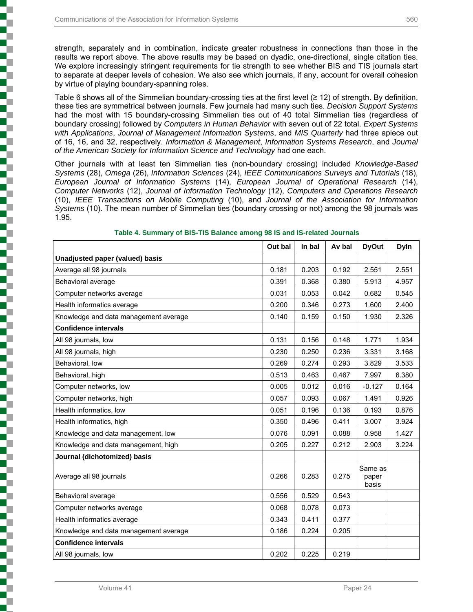j

strength, separately and in combination, indicate greater robustness in connections than those in the results we report above. The above results may be based on dyadic, one-directional, single citation ties. We explore increasingly stringent requirements for tie strength to see whether BIS and TIS journals start to separate at deeper levels of cohesion. We also see which journals, if any, account for overall cohesion by virtue of playing boundary-spanning roles.

Table 6 shows all of the Simmelian boundary-crossing ties at the first level (≥ 12) of strength. By definition, these ties are symmetrical between journals. Few journals had many such ties. *Decision Support Systems* had the most with 15 boundary-crossing Simmelian ties out of 40 total Simmelian ties (regardless of boundary crossing) followed by *Computers in Human Behavior* with seven out of 22 total. *Expert Systems with Applications*, *Journal of Management Information Systems*, and *MIS Quarterly* had three apiece out of 16, 16, and 32, respectively. *Information & Management*, *Information Systems Research*, and *Journal of the American Society for Information Science and Technology* had one each.

Other journals with at least ten Simmelian ties (non-boundary crossing) included *Knowledge-Based Systems* (28), *Omega* (26), *Information Sciences* (24), *IEEE Communications Surveys and Tutorials* (18), *European Journal of Information Systems* (14), *European Journal of Operational Research* (14), *Computer Networks* (12), *Journal of Information Technology* (12), *Computers and Operations Research* (10), *IEEE Transactions on Mobile Computing* (10), and *Journal of the Association for Information Systems* (10). The mean number of Simmelian ties (boundary crossing or not) among the 98 journals was 1.95.

|                                       | Out bal | In bal | Av bal | <b>DyOut</b>              | <b>Dyln</b> |
|---------------------------------------|---------|--------|--------|---------------------------|-------------|
| Unadjusted paper (valued) basis       |         |        |        |                           |             |
| Average all 98 journals               | 0.181   | 0.203  | 0.192  | 2.551                     | 2.551       |
| Behavioral average                    | 0.391   | 0.368  | 0.380  | 5.913                     | 4.957       |
| Computer networks average             | 0.031   | 0.053  | 0.042  | 0.682                     | 0.545       |
| Health informatics average            | 0.200   | 0.346  | 0.273  | 1.600                     | 2.400       |
| Knowledge and data management average | 0.140   | 0.159  | 0.150  | 1.930                     | 2.326       |
| <b>Confidence intervals</b>           |         |        |        |                           |             |
| All 98 journals, low                  | 0.131   | 0.156  | 0.148  | 1.771                     | 1.934       |
| All 98 journals, high                 | 0.230   | 0.250  | 0.236  | 3.331                     | 3.168       |
| Behavioral, low                       | 0.269   | 0.274  | 0.293  | 3.829                     | 3.533       |
| Behavioral, high                      | 0.513   | 0.463  | 0.467  | 7.997                     | 6.380       |
| Computer networks, low                | 0.005   | 0.012  | 0.016  | $-0.127$                  | 0.164       |
| Computer networks, high               | 0.057   | 0.093  | 0.067  | 1.491                     | 0.926       |
| Health informatics, low               | 0.051   | 0.196  | 0.136  | 0.193                     | 0.876       |
| Health informatics, high              | 0.350   | 0.496  | 0.411  | 3.007                     | 3.924       |
| Knowledge and data management, low    | 0.076   | 0.091  | 0.088  | 0.958                     | 1.427       |
| Knowledge and data management, high   | 0.205   | 0.227  | 0.212  | 2.903                     | 3.224       |
| Journal (dichotomized) basis          |         |        |        |                           |             |
| Average all 98 journals               | 0.266   | 0.283  | 0.275  | Same as<br>paper<br>basis |             |
| Behavioral average                    | 0.556   | 0.529  | 0.543  |                           |             |
| Computer networks average             | 0.068   | 0.078  | 0.073  |                           |             |
| Health informatics average            | 0.343   | 0.411  | 0.377  |                           |             |
| Knowledge and data management average | 0.186   | 0.224  | 0.205  |                           |             |
| <b>Confidence intervals</b>           |         |        |        |                           |             |
| All 98 journals, low                  | 0.202   | 0.225  | 0.219  |                           |             |

#### **Table 4. Summary of BIS-TIS Balance among 98 IS and IS-related Journals**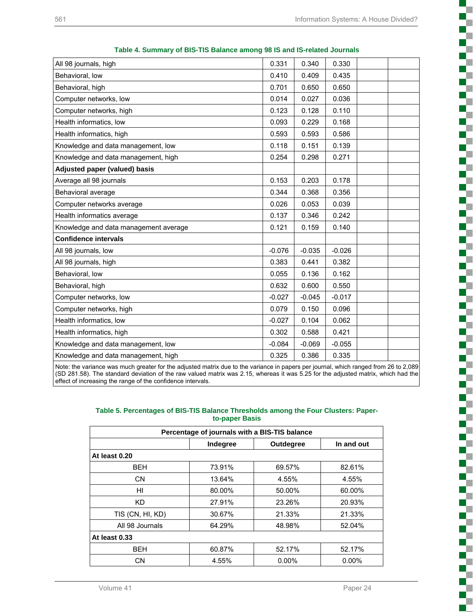**Tale**  $\mathcal{L}_{\mathcal{A}}$ n. T

S C C c F

ç. C c

į

š

L

Ĩ.

Í.

c

is and the company of

į

C T C L

ξ

Г F c  $\mathbb{R}^n$ T W

| All 98 journals, high                                                                                                               | 0.331    | 0.340    | 0.330    |  |
|-------------------------------------------------------------------------------------------------------------------------------------|----------|----------|----------|--|
| Behavioral, low                                                                                                                     | 0.410    | 0.409    | 0.435    |  |
| Behavioral, high                                                                                                                    | 0.701    | 0.650    | 0.650    |  |
| Computer networks, low                                                                                                              | 0.014    | 0.027    | 0.036    |  |
| Computer networks, high                                                                                                             | 0.123    | 0.128    | 0.110    |  |
| Health informatics, low                                                                                                             | 0.093    | 0.229    | 0.168    |  |
| Health informatics, high                                                                                                            | 0.593    | 0.593    | 0.586    |  |
| Knowledge and data management, low                                                                                                  | 0.118    | 0.151    | 0.139    |  |
| Knowledge and data management, high                                                                                                 | 0.254    | 0.298    | 0.271    |  |
| <b>Adjusted paper (valued) basis</b>                                                                                                |          |          |          |  |
| Average all 98 journals                                                                                                             | 0.153    | 0.203    | 0.178    |  |
| Behavioral average                                                                                                                  | 0.344    | 0.368    | 0.356    |  |
| Computer networks average                                                                                                           | 0.026    | 0.053    | 0.039    |  |
| Health informatics average                                                                                                          | 0.137    | 0.346    | 0.242    |  |
| Knowledge and data management average                                                                                               | 0.121    | 0.159    | 0.140    |  |
| <b>Confidence intervals</b>                                                                                                         |          |          |          |  |
| All 98 journals, low                                                                                                                | $-0.076$ | $-0.035$ | $-0.026$ |  |
| All 98 journals, high                                                                                                               | 0.383    | 0.441    | 0.382    |  |
| Behavioral, low                                                                                                                     | 0.055    | 0.136    | 0.162    |  |
| Behavioral, high                                                                                                                    | 0.632    | 0.600    | 0.550    |  |
| Computer networks, low                                                                                                              | $-0.027$ | $-0.045$ | $-0.017$ |  |
| Computer networks, high                                                                                                             | 0.079    | 0.150    | 0.096    |  |
| Health informatics, low                                                                                                             | $-0.027$ | 0.104    | 0.062    |  |
| Health informatics, high                                                                                                            | 0.302    | 0.588    | 0.421    |  |
| Knowledge and data management, low                                                                                                  | $-0.084$ | $-0.069$ | $-0.055$ |  |
| Knowledge and data management, high                                                                                                 | 0.325    | 0.386    | 0.335    |  |
| Note: the variance was much greater for the adjusted matrix due to the variance in papers per journal, which ranged from 26 to 2.08 |          |          |          |  |

| Table 4. Summary of BIS-TIS Balance among 98 IS and IS-related Journals |  |
|-------------------------------------------------------------------------|--|
|-------------------------------------------------------------------------|--|

Note: the variance was much greater for the adjusted matrix due to the variance in papers per journal, which ranged from 26 to 2,089 (SD 281.58). The standard deviation of the raw valued matrix was 2.15, whereas it was 5.25 for the adjusted matrix, which had the effect of increasing the range of the confidence intervals.

#### **Table 5. Percentages of BIS-TIS Balance Thresholds among the Four Clusters: Paperto-paper Basis**

| Percentage of journals with a BIS-TIS balance |          |           |            |  |  |  |  |  |
|-----------------------------------------------|----------|-----------|------------|--|--|--|--|--|
|                                               | Indegree | Outdegree | In and out |  |  |  |  |  |
| At least 0.20                                 |          |           |            |  |  |  |  |  |
| <b>BEH</b>                                    | 73.91%   | 69.57%    | 82.61%     |  |  |  |  |  |
| <b>CN</b>                                     | 13.64%   | 4.55%     | 4.55%      |  |  |  |  |  |
| HI                                            | 80.00%   | 50.00%    | 60.00%     |  |  |  |  |  |
| KD.                                           | 27.91%   | 23.26%    | 20.93%     |  |  |  |  |  |
| TIS (CN, HI, KD)                              | 30.67%   | 21.33%    | 21.33%     |  |  |  |  |  |
| All 98 Journals                               | 64.29%   | 48.98%    | 52.04%     |  |  |  |  |  |
| At least 0.33                                 |          |           |            |  |  |  |  |  |
| <b>BEH</b>                                    | 60.87%   | 52.17%    | 52.17%     |  |  |  |  |  |
| CN                                            | 4.55%    | $0.00\%$  | $0.00\%$   |  |  |  |  |  |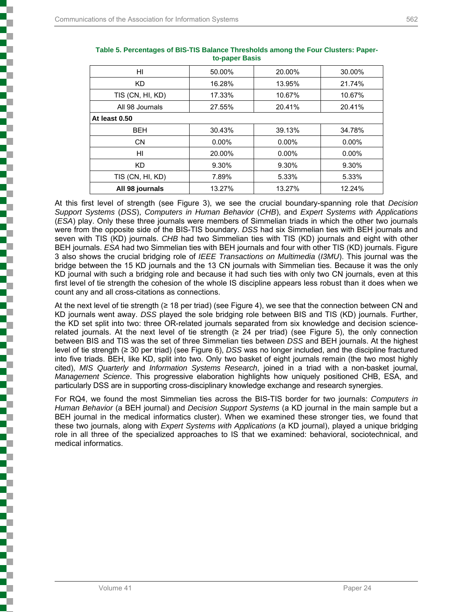| HI               | 50.00%   | 20.00%   | 30.00%   |
|------------------|----------|----------|----------|
| KD.              | 16.28%   | 13.95%   | 21.74%   |
| TIS (CN, HI, KD) | 17.33%   | 10.67%   | 10.67%   |
| All 98 Journals  | 27.55%   | 20.41%   | 20.41%   |
| At least 0.50    |          |          |          |
| <b>BEH</b>       | 30.43%   | 39.13%   | 34.78%   |
| CN.              | $0.00\%$ | $0.00\%$ | $0.00\%$ |
| HI               | 20.00%   | $0.00\%$ | $0.00\%$ |
| <b>KD</b>        | 9.30%    | 9.30%    | 9.30%    |
| TIS (CN, HI, KD) | 7.89%    | 5.33%    | 5.33%    |
| All 98 journals  | 13.27%   | 13.27%   | 12.24%   |

| Table 5. Percentages of BIS-TIS Balance Thresholds among the Four Clusters: Paper- |
|------------------------------------------------------------------------------------|
| to-paper Basis                                                                     |

At this first level of strength (see Figure 3), we see the crucial boundary-spanning role that *Decision Support Systems* (*DSS*), *Computers in Human Behavior* (*CHB*), and *Expert Systems with Applications*  (*ESA*) play. Only these three journals were members of Simmelian triads in which the other two journals were from the opposite side of the BIS-TIS boundary. *DSS* had six Simmelian ties with BEH journals and seven with TIS (KD) journals. *CHB* had two Simmelian ties with TIS (KD) journals and eight with other BEH journals. *ESA* had two Simmelian ties with BEH journals and four with other TIS (KD) journals. Figure 3 also shows the crucial bridging role of *IEEE Transactions on Multimedia* (*I3MU*). This journal was the bridge between the 15 KD journals and the 13 CN journals with Simmelian ties. Because it was the only KD journal with such a bridging role and because it had such ties with only two CN journals, even at this first level of tie strength the cohesion of the whole IS discipline appears less robust than it does when we count any and all cross-citations as connections.

At the next level of tie strength (≥ 18 per triad) (see Figure 4), we see that the connection between CN and KD journals went away. *DSS* played the sole bridging role between BIS and TIS (KD) journals. Further, the KD set split into two: three OR-related journals separated from six knowledge and decision sciencerelated journals. At the next level of tie strength ( $\geq$  24 per triad) (see Figure 5), the only connection between BIS and TIS was the set of three Simmelian ties between *DSS* and BEH journals. At the highest level of tie strength (≥ 30 per triad) (see Figure 6), *DSS* was no longer included, and the discipline fractured into five triads. BEH, like KD, split into two. Only two basket of eight journals remain (the two most highly cited), *MIS Quarterly* and *Information Systems Research*, joined in a triad with a non-basket journal, *Management Science*. This progressive elaboration highlights how uniquely positioned CHB, ESA, and particularly DSS are in supporting cross-disciplinary knowledge exchange and research synergies.

For RQ4, we found the most Simmelian ties across the BIS-TIS border for two journals: *Computers in Human Behavior* (a BEH journal) and *Decision Support Systems* (a KD journal in the main sample but a BEH journal in the medical informatics cluster). When we examined these stronger ties, we found that these two journals, along with *Expert Systems with Applications* (a KD journal), played a unique bridging role in all three of the specialized approaches to IS that we examined: behavioral, sociotechnical, and medical informatics.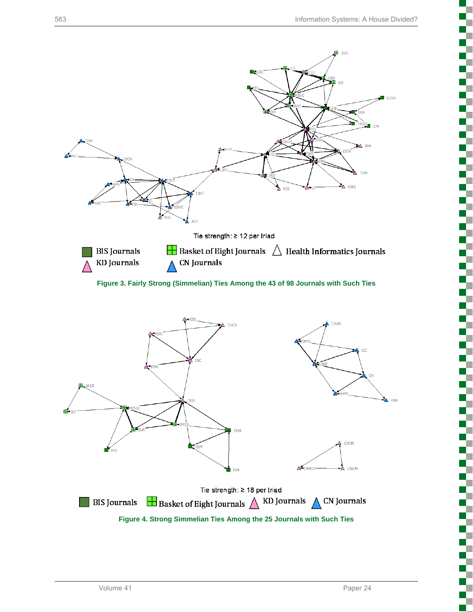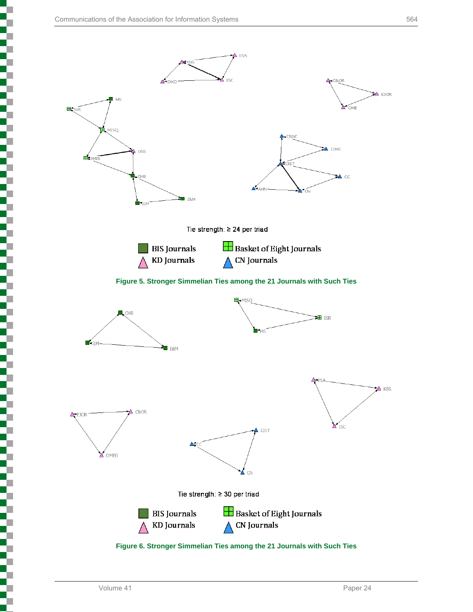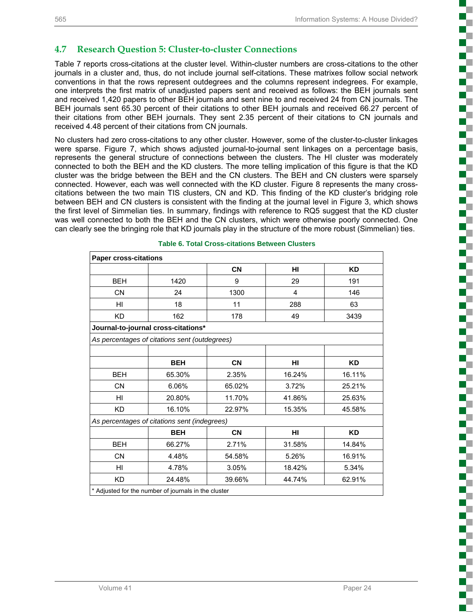į

ď, T. T

ď, T.

## **4.7 Research Question 5: Cluster-to-cluster Connections**

Table 7 reports cross-citations at the cluster level. Within-cluster numbers are cross-citations to the other journals in a cluster and, thus, do not include journal self-citations. These matrixes follow social network conventions in that the rows represent outdegrees and the columns represent indegrees. For example, one interprets the first matrix of unadjusted papers sent and received as follows: the BEH journals sent and received 1,420 papers to other BEH journals and sent nine to and received 24 from CN journals. The BEH journals sent 65.30 percent of their citations to other BEH journals and received 66.27 percent of their citations from other BEH journals. They sent 2.35 percent of their citations to CN journals and received 4.48 percent of their citations from CN journals.

No clusters had zero cross-citations to any other cluster. However, some of the cluster-to-cluster linkages were sparse. Figure 7, which shows adjusted journal-to-journal sent linkages on a percentage basis, represents the general structure of connections between the clusters. The HI cluster was moderately connected to both the BEH and the KD clusters. The more telling implication of this figure is that the KD cluster was the bridge between the BEH and the CN clusters. The BEH and CN clusters were sparsely connected. However, each was well connected with the KD cluster. Figure 8 represents the many crosscitations between the two main TIS clusters, CN and KD. This finding of the KD cluster's bridging role between BEH and CN clusters is consistent with the finding at the journal level in Figure 3, which shows the first level of Simmelian ties. In summary, findings with reference to RQ5 suggest that the KD cluster was well connected to both the BEH and the CN clusters, which were otherwise poorly connected. One can clearly see the bringing role that KD journals play in the structure of the more robust (Simmelian) ties.

| <b>Paper cross-citations</b> |                                                      |           |        |           |
|------------------------------|------------------------------------------------------|-----------|--------|-----------|
|                              |                                                      | CN        | HI     | <b>KD</b> |
| <b>BEH</b>                   | 1420                                                 | 9         | 29     | 191       |
| <b>CN</b>                    | 24                                                   | 1300      | 4      | 146       |
| HI                           | 18                                                   | 11        | 288    | 63        |
| <b>KD</b>                    | 162                                                  | 178       | 49     | 3439      |
|                              | Journal-to-journal cross-citations*                  |           |        |           |
|                              | As percentages of citations sent (outdegrees)        |           |        |           |
|                              |                                                      |           |        |           |
|                              | <b>BEH</b>                                           | CN        | HI     | <b>KD</b> |
| <b>BEH</b>                   | 65.30%                                               | 2.35%     | 16.24% | 16.11%    |
| <b>CN</b>                    | 6.06%                                                | 65.02%    | 3.72%  | 25.21%    |
| HI                           | 20.80%                                               | 11.70%    | 41.86% | 25.63%    |
| <b>KD</b>                    | 16.10%                                               | 22.97%    | 15.35% | 45.58%    |
|                              | As percentages of citations sent (indegrees)         |           |        |           |
|                              | <b>BEH</b>                                           | <b>CN</b> | HI     | <b>KD</b> |
| <b>BEH</b>                   | 66.27%                                               | 2.71%     | 31.58% | 14.84%    |
| <b>CN</b>                    | 4.48%                                                | 54.58%    | 5.26%  | 16.91%    |
| HI                           | 4.78%                                                | 3.05%     | 18.42% | 5.34%     |
| <b>KD</b>                    | 24.48%                                               | 39.66%    | 44.74% | 62.91%    |
|                              | * Adjusted for the number of journals in the cluster |           |        |           |

**Table 6. Total Cross-citations Between Clusters**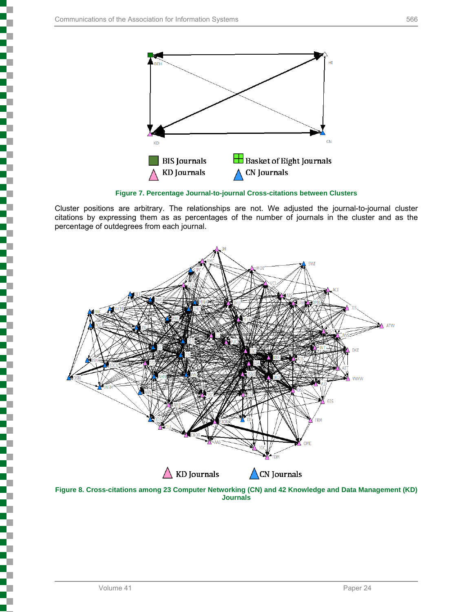

**Figure 7. Percentage Journal-to-journal Cross-citations between Clusters** 

Cluster positions are arbitrary. The relationships are not. We adjusted the journal-to-journal cluster citations by expressing them as as percentages of the number of journals in the cluster and as the percentage of outdegrees from each journal.



**Figure 8. Cross-citations among 23 Computer Networking (CN) and 42 Knowledge and Data Management (KD) Journals**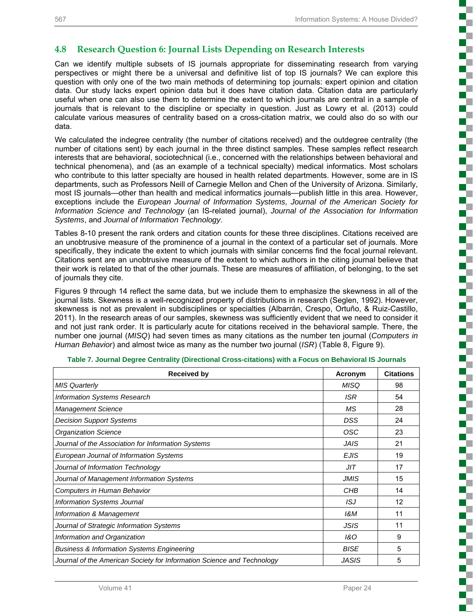ş

Ś

t

s

#### **4.8 Research Question 6: Journal Lists Depending on Research Interests**

Can we identify multiple subsets of IS journals appropriate for disseminating research from varying perspectives or might there be a universal and definitive list of top IS journals? We can explore this question with only one of the two main methods of determining top journals: expert opinion and citation data. Our study lacks expert opinion data but it does have citation data. Citation data are particularly useful when one can also use them to determine the extent to which journals are central in a sample of journals that is relevant to the discipline or specialty in question. Just as Lowry et al. (2013) could calculate various measures of centrality based on a cross-citation matrix, we could also do so with our data.

We calculated the indegree centrality (the number of citations received) and the outdegree centrality (the number of citations sent) by each journal in the three distinct samples. These samples reflect research interests that are behavioral, sociotechnical (i.e., concerned with the relationships between behavioral and technical phenomena), and (as an example of a technical specialty) medical informatics. Most scholars who contribute to this latter specialty are housed in health related departments. However, some are in IS departments, such as Professors Neill of Carnegie Mellon and Chen of the University of Arizona. Similarly, most IS journals—other than health and medical informatics journals—publish little in this area. However, exceptions include the *European Journal of Information Systems*, *Journal of the American Society for Information Science and Technology* (an IS-related journal), *Journal of the Association for Information Systems*, and *Journal of Information Technology*.

Tables 8-10 present the rank orders and citation counts for these three disciplines. Citations received are an unobtrusive measure of the prominence of a journal in the context of a particular set of journals. More specifically, they indicate the extent to which journals with similar concerns find the focal journal relevant. Citations sent are an unobtrusive measure of the extent to which authors in the citing journal believe that their work is related to that of the other journals. These are measures of affiliation, of belonging, to the set of journals they cite.

Figures 9 through 14 reflect the same data, but we include them to emphasize the skewness in all of the journal lists. Skewness is a well-recognized property of distributions in research (Seglen, 1992). However, skewness is not as prevalent in subdisciplines or specialties (Albarrán, Crespo, Ortuño, & Ruiz-Castillo, 2011). In the research areas of our samples, skewness was sufficiently evident that we need to consider it and not just rank order. It is particularly acute for citations received in the behavioral sample. There, the number one journal (*MISQ*) had seven times as many citations as the number ten journal (*Computers in Human Behavior*) and almost twice as many as the number two journal (*ISR*) (Table 8, Figure 9).

| <b>Received by</b>                                                     | Acronym      | <b>Citations</b> |
|------------------------------------------------------------------------|--------------|------------------|
| <b>MIS Quarterly</b>                                                   | <b>MISQ</b>  | 98               |
| <b>Information Systems Research</b>                                    | <b>ISR</b>   | 54               |
| <b>Management Science</b>                                              | <b>MS</b>    | 28               |
| <b>Decision Support Systems</b>                                        | DSS          | 24               |
| <b>Organization Science</b>                                            | OSC          | 23               |
| Journal of the Association for Information Systems                     | <b>JAIS</b>  | 21               |
| European Journal of Information Systems                                | <b>EJIS</b>  | 19               |
| Journal of Information Technology                                      | JIT          | 17               |
| Journal of Management Information Systems                              | <b>JMIS</b>  | 15               |
| Computers in Human Behavior                                            | CHB          | 14               |
| <b>Information Systems Journal</b>                                     | ISJ          | 12               |
| Information & Management                                               | 1&M          | 11               |
| Journal of Strategic Information Systems                               | <b>JSIS</b>  | 11               |
| Information and Organization                                           | 1&O          | 9                |
| <b>Business &amp; Information Systems Engineering</b>                  | <b>BISE</b>  | 5                |
| Journal of the American Society for Information Science and Technology | <b>JASIS</b> | 5                |

**Table 7. Journal Degree Centrality (Directional Cross-citations) with a Focus on Behavioral IS Journals**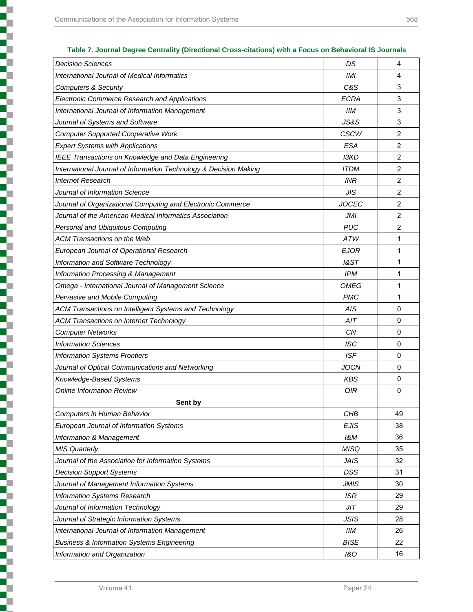T

|          | v |     | v             |  |
|----------|---|-----|---------------|--|
| ٠<br>. . | ٠ | . . | v<br>I<br>___ |  |

| <b>Decision Sciences</b>                                          | DS             | 4              |
|-------------------------------------------------------------------|----------------|----------------|
| <b>International Journal of Medical Informatics</b>               | <b>IMI</b>     | 4              |
| <b>Computers &amp; Security</b>                                   | C&S            | 3              |
| Electronic Commerce Research and Applications                     | <b>ECRA</b>    | 3              |
| International Journal of Information Management                   | <b>IIM</b>     | 3              |
| Journal of Systems and Software                                   | JS&S           | 3              |
| <b>Computer Supported Cooperative Work</b>                        | <b>CSCW</b>    | 2              |
| <b>Expert Systems with Applications</b>                           | <b>ESA</b>     | 2              |
| IEEE Transactions on Knowledge and Data Engineering               | <b>I3KD</b>    | 2              |
| International Journal of Information Technology & Decision Making | <b>ITDM</b>    | 2              |
| <b>Internet Research</b>                                          | <b>INR</b>     | 2              |
| Journal of Information Science                                    | <b>JIS</b>     | 2              |
| Journal of Organizational Computing and Electronic Commerce       | <b>JOCEC</b>   | $\overline{2}$ |
| Journal of the American Medical Informatics Association           | <b>JMI</b>     | 2              |
| Personal and Ubiquitous Computing                                 | <b>PUC</b>     | 2              |
| <b>ACM Transactions on the Web</b>                                | <b>ATW</b>     | 1              |
| European Journal of Operational Research                          | EJOR           | 1              |
| Information and Software Technology                               | 18ST           | 1              |
| <b>Information Processing &amp; Management</b>                    | <b>IPM</b>     | 1              |
| Omega - International Journal of Management Science               | <b>OMEG</b>    | 1              |
| Pervasive and Mobile Computing                                    | <b>PMC</b>     | 1              |
| ACM Transactions on Intelligent Systems and Technology            | A/S            | 0              |
| <b>ACM Transactions on Internet Technology</b>                    | AIT            | 0              |
| <b>Computer Networks</b>                                          | <b>CN</b>      | 0              |
| <b>Information Sciences</b>                                       | <b>ISC</b>     | 0              |
| <b>Information Systems Frontiers</b>                              | <b>ISF</b>     | 0              |
| Journal of Optical Communications and Networking                  | <b>JOCN</b>    | 0              |
| Knowledge-Based Systems                                           | <b>KBS</b>     | 0              |
| <b>Online Information Review</b>                                  | <b>OIR</b>     | 0              |
| Sent by                                                           |                |                |
| Computers in Human Behavior                                       | CHB            | 49             |
| European Journal of Information Systems                           | <b>EJIS</b>    | 38             |
| Information & Management                                          | 1&M            | 36             |
| <b>MIS Quarterly</b>                                              | <b>MISQ</b>    | 35             |
| Journal of the Association for Information Systems                | <b>JAIS</b>    | 32             |
| <b>Decision Support Systems</b>                                   | DSS            | 31             |
| Journal of Management Information Systems                         | <b>JMIS</b>    | 30             |
| Information Systems Research                                      | <b>ISR</b>     | 29             |
| Journal of Information Technology                                 | JIT            | 29             |
| Journal of Strategic Information Systems                          | <b>JSIS</b>    | 28             |
| International Journal of Information Management                   | IIM            | 26             |
| <b>Business &amp; Information Systems Engineering</b>             | <b>BISE</b>    | 22             |
| Information and Organization                                      | <b>1&amp;O</b> | 16             |
|                                                                   |                |                |

#### **Table 7. Journal Degree Centrality (Directional Cross-citations) with a Focus on Behavioral IS Journals**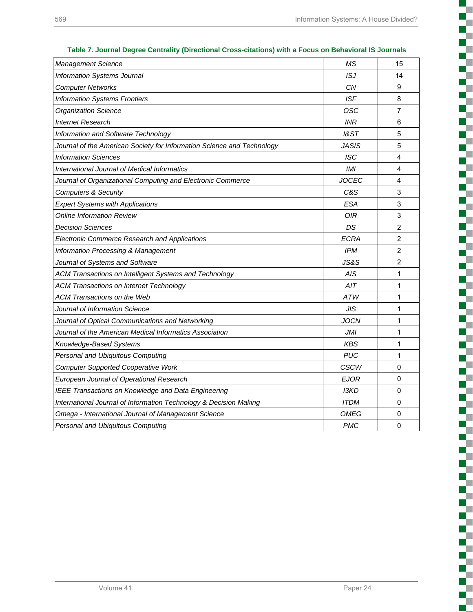| <b>Management Science</b>                                              | ΜS           | 15             |
|------------------------------------------------------------------------|--------------|----------------|
| Information Systems Journal                                            | ISJ          | 14             |
| <b>Computer Networks</b>                                               | CN           | 9              |
| <b>Information Systems Frontiers</b>                                   | <b>ISF</b>   | 8              |
| <b>Organization Science</b>                                            | osc          | 7              |
| <b>Internet Research</b>                                               | <b>INR</b>   | 6              |
| Information and Software Technology                                    | 1&ST         | 5              |
| Journal of the American Society for Information Science and Technology | <b>JASIS</b> | 5              |
| <b>Information Sciences</b>                                            | <b>ISC</b>   | 4              |
| International Journal of Medical Informatics                           | <b>IMI</b>   | 4              |
| Journal of Organizational Computing and Electronic Commerce            | <b>JOCEC</b> | 4              |
| <b>Computers &amp; Security</b>                                        | C&S          | 3              |
| <b>Expert Systems with Applications</b>                                | <b>ESA</b>   | 3              |
| Online Information Review                                              | <b>OIR</b>   | 3              |
| <b>Decision Sciences</b>                                               | DS           | $\overline{2}$ |
| <b>Electronic Commerce Research and Applications</b>                   | <b>ECRA</b>  | $\overline{2}$ |
| <b>Information Processing &amp; Management</b>                         | <b>IPM</b>   | $\overline{2}$ |
| Journal of Systems and Software                                        | JS&S         | $\overline{2}$ |
| ACM Transactions on Intelligent Systems and Technology                 | AIS          | 1              |
| <b>ACM Transactions on Internet Technology</b>                         | AIT          | 1              |
| ACM Transactions on the Web                                            | ATW          | 1              |
| Journal of Information Science                                         | <b>JIS</b>   | 1              |
| Journal of Optical Communications and Networking                       | <b>JOCN</b>  | 1              |
| Journal of the American Medical Informatics Association                | JMI          | 1              |
| Knowledge-Based Systems                                                | <b>KBS</b>   | 1              |
| Personal and Ubiquitous Computing                                      | <b>PUC</b>   | $\mathbf{1}$   |
| <b>Computer Supported Cooperative Work</b>                             | <b>CSCW</b>  | 0              |
| European Journal of Operational Research                               | <b>EJOR</b>  | 0              |
| IEEE Transactions on Knowledge and Data Engineering                    | <b>I3KD</b>  | 0              |
| International Journal of Information Technology & Decision Making      | <b>ITDM</b>  | 0              |
| Omega - International Journal of Management Science                    | OMEG         | 0              |
| Personal and Ubiquitous Computing                                      | <b>PMC</b>   | 0              |

**Table 7. Journal Degree Centrality (Directional Cross-citations) with a Focus on Behavioral IS Journals**

с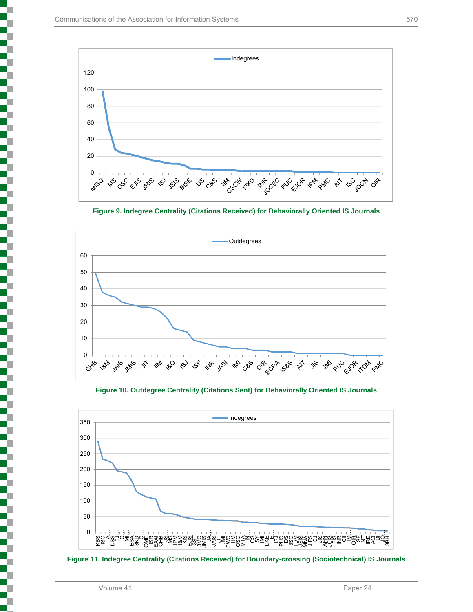





**Figure 10. Outdegree Centrality (Citations Sent) for Behaviorally Oriented IS Journals** 



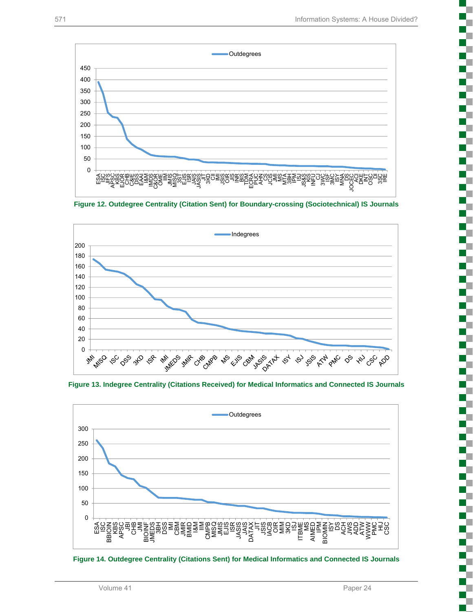

**Figure 12. Outdegree Centrality (Citation Sent) for Boundary-crossing (Sociotechnical) IS Journals**



**Figure 13. Indegree Centrality (Citations Received) for Medical Informatics and Connected IS Journals**



**Figure 14. Outdegree Centrality (Citations Sent) for Medical Informatics and Connected IS Journals**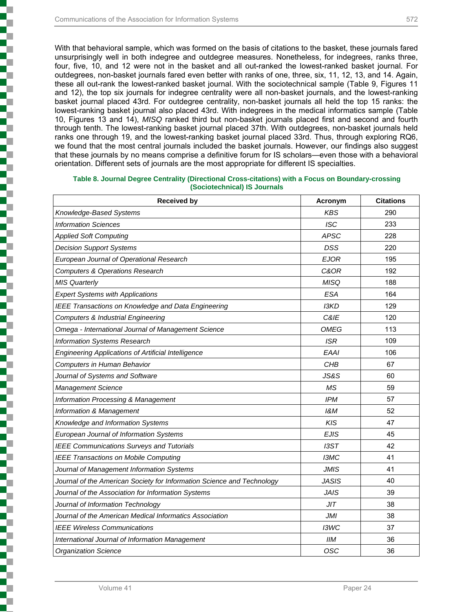With that behavioral sample, which was formed on the basis of citations to the basket, these journals fared unsurprisingly well in both indegree and outdegree measures. Nonetheless, for indegrees, ranks three, four, five, 10, and 12 were not in the basket and all out-ranked the lowest-ranked basket journal. For outdegrees, non-basket journals fared even better with ranks of one, three, six, 11, 12, 13, and 14. Again, these all out-rank the lowest-ranked basket journal. With the sociotechnical sample (Table 9, Figures 11 and 12), the top six journals for indegree centrality were all non-basket journals, and the lowest-ranking basket journal placed 43rd. For outdegree centrality, non-basket journals all held the top 15 ranks: the lowest-ranking basket journal also placed 43rd. With indegrees in the medical informatics sample (Table

10, Figures 13 and 14), *MISQ* ranked third but non-basket journals placed first and second and fourth through tenth. The lowest-ranking basket journal placed 37th. With outdegrees, non-basket journals held ranks one through 19, and the lowest-ranking basket journal placed 33rd. Thus, through exploring RQ6, we found that the most central journals included the basket journals. However, our findings also suggest that these journals by no means comprise a definitive forum for IS scholars—even those with a behavioral orientation. Different sets of journals are the most appropriate for different IS specialties.

| <b>Received by</b>                                                     | Acronym         | <b>Citations</b> |
|------------------------------------------------------------------------|-----------------|------------------|
| Knowledge-Based Systems                                                | <b>KBS</b>      | 290              |
| <b>Information Sciences</b>                                            | <b>ISC</b>      | 233              |
| <b>Applied Soft Computing</b>                                          | <b>APSC</b>     | 228              |
| <b>Decision Support Systems</b>                                        | <b>DSS</b>      | 220              |
| European Journal of Operational Research                               | <b>EJOR</b>     | 195              |
| <b>Computers &amp; Operations Research</b>                             | C&OR            | 192              |
| <b>MIS Quarterly</b>                                                   | <b>MISQ</b>     | 188              |
| <b>Expert Systems with Applications</b>                                | <b>ESA</b>      | 164              |
| IEEE Transactions on Knowledge and Data Engineering                    | <b>I3KD</b>     | 129              |
| Computers & Industrial Engineering                                     | C&IE            | 120              |
| Omega - International Journal of Management Science                    | <b>OMEG</b>     | 113              |
| <b>Information Systems Research</b>                                    | <b>ISR</b>      | 109              |
| <b>Engineering Applications of Artificial Intelligence</b>             | <b>EAAI</b>     | 106              |
| Computers in Human Behavior                                            | CHB             | 67               |
| Journal of Systems and Software                                        | <b>JS&amp;S</b> | 60               |
| <b>Management Science</b>                                              | ΜS              | 59               |
| <b>Information Processing &amp; Management</b>                         | <b>IPM</b>      | 57               |
| Information & Management                                               | 1&M             | 52               |
| Knowledge and Information Systems                                      | KIS             | 47               |
| European Journal of Information Systems                                | <b>EJIS</b>     | 45               |
| <b>IEEE Communications Surveys and Tutorials</b>                       | I3ST            | 42               |
| <b>IEEE Transactions on Mobile Computing</b>                           | I3MC            | 41               |
| Journal of Management Information Systems                              | <b>JMIS</b>     | 41               |
| Journal of the American Society for Information Science and Technology | JASIS           | 40               |
| Journal of the Association for Information Systems                     | <b>JAIS</b>     | 39               |
| Journal of Information Technology                                      | JIT             | 38               |
| Journal of the American Medical Informatics Association                | JMI             | 38               |
| <b>IEEE Wireless Communications</b>                                    | I3WC            | 37               |
| International Journal of Information Management                        | IIМ             | 36               |
| <b>Organization Science</b>                                            | OSC             | 36               |

#### **Table 8. Journal Degree Centrality (Directional Cross-citations) with a Focus on Boundary-crossing (Sociotechnical) IS Journals**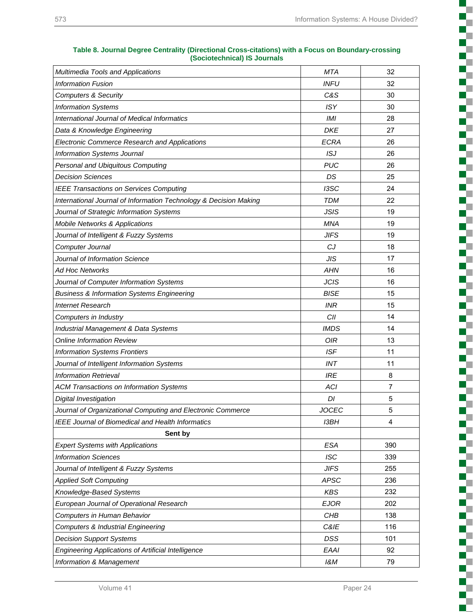с **Alberta** D.  $\overline{\phantom{a}}$ t

Į

c

Ş

ā

Š

L

į

t,

š

i

Ş

D.

i

g  $\mathbb{R}^n$ T. H.

| Multimedia Tools and Applications                                 | <b>MTA</b>   | 32             |
|-------------------------------------------------------------------|--------------|----------------|
| <b>Information Fusion</b>                                         | <b>INFU</b>  | 32             |
| <b>Computers &amp; Security</b>                                   | C&S          | 30             |
| <b>Information Systems</b>                                        | <b>ISY</b>   | 30             |
| <b>International Journal of Medical Informatics</b>               | <b>IMI</b>   | 28             |
| Data & Knowledge Engineering                                      | <b>DKE</b>   | 27             |
| Electronic Commerce Research and Applications                     | <b>ECRA</b>  | 26             |
| <b>Information Systems Journal</b>                                | ISJ          | 26             |
| Personal and Ubiquitous Computing                                 | <b>PUC</b>   | 26             |
| <b>Decision Sciences</b>                                          | DS           | 25             |
| <b>IEEE Transactions on Services Computing</b>                    | I3SC         | 24             |
| International Journal of Information Technology & Decision Making | <b>TDM</b>   | 22             |
| Journal of Strategic Information Systems                          | <b>JSIS</b>  | 19             |
| <b>Mobile Networks &amp; Applications</b>                         | MNA          | 19             |
| Journal of Intelligent & Fuzzy Systems                            | <b>JIFS</b>  | 19             |
| Computer Journal                                                  | CJ           | 18             |
| Journal of Information Science                                    | <b>JIS</b>   | 17             |
| Ad Hoc Networks                                                   | AHN          | 16             |
| Journal of Computer Information Systems                           | <b>JCIS</b>  | 16             |
| <b>Business &amp; Information Systems Engineering</b>             | <b>BISE</b>  | 15             |
| <b>Internet Research</b>                                          | INR          | 15             |
| Computers in Industry                                             | CII          | 14             |
| Industrial Management & Data Systems                              | <b>IMDS</b>  | 14             |
| <b>Online Information Review</b>                                  | <b>OIR</b>   | 13             |
| <b>Information Systems Frontiers</b>                              | <b>ISF</b>   | 11             |
| Journal of Intelligent Information Systems                        | INT          | 11             |
| <b>Information Retrieval</b>                                      | <b>IRE</b>   | 8              |
| <b>ACM Transactions on Information Systems</b>                    | <b>ACI</b>   | $\overline{7}$ |
| Digital Investigation                                             | DI           | 5              |
| Journal of Organizational Computing and Electronic Commerce       | <b>JOCEC</b> | 5              |
| IEEE Journal of Biomedical and Health Informatics                 | <b>I3BH</b>  | 4              |
| Sent by                                                           |              |                |
| <b>Expert Systems with Applications</b>                           | <b>ESA</b>   | 390            |
| <b>Information Sciences</b>                                       | <b>ISC</b>   | 339            |
| Journal of Intelligent & Fuzzy Systems                            | <b>JIFS</b>  | 255            |
| <b>Applied Soft Computing</b>                                     | <b>APSC</b>  | 236            |
| Knowledge-Based Systems                                           | <b>KBS</b>   | 232            |
| European Journal of Operational Research                          | <b>EJOR</b>  | 202            |
| Computers in Human Behavior                                       | CHB          | 138            |
| Computers & Industrial Engineering                                | C&IE         | 116            |
| <b>Decision Support Systems</b>                                   | DSS          | 101            |
| Engineering Applications of Artificial Intelligence               | <b>EAAI</b>  | 92             |
| Information & Management                                          | 18M          | 79             |

#### **Table 8. Journal Degree Centrality (Directional Cross-citations) with a Focus on Boundary-crossing (Sociotechnical) IS Journals**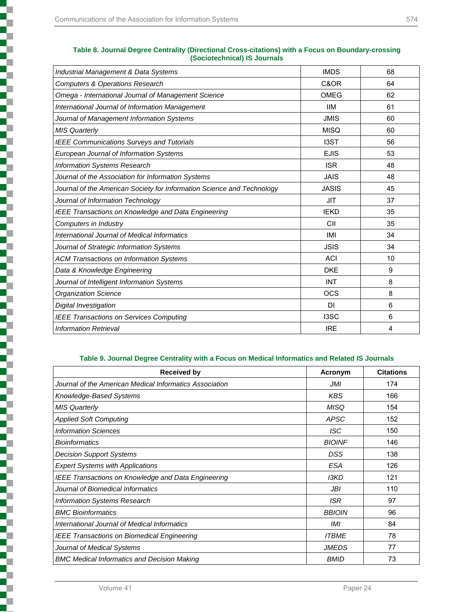T

| Industrial Management & Data Systems                                   | <b>IMDS</b>  | 68 |
|------------------------------------------------------------------------|--------------|----|
| <b>Computers &amp; Operations Research</b>                             | C&OR         | 64 |
| Omega - International Journal of Management Science                    | OMEG         | 62 |
| International Journal of Information Management                        | <b>IIM</b>   | 61 |
| Journal of Management Information Systems                              | <b>JMIS</b>  | 60 |
| <b>MIS Quarterly</b>                                                   | <b>MISQ</b>  | 60 |
| <b>IEEE Communications Surveys and Tutorials</b>                       | <b>I3ST</b>  | 56 |
| European Journal of Information Systems                                | <b>EJIS</b>  | 53 |
| Information Systems Research                                           | <b>ISR</b>   | 48 |
| Journal of the Association for Information Systems                     | <b>JAIS</b>  | 48 |
| Journal of the American Society for Information Science and Technology | <b>JASIS</b> | 45 |
| Journal of Information Technology                                      | <b>JIT</b>   | 37 |
| IEEE Transactions on Knowledge and Data Engineering                    | <b>IEKD</b>  | 35 |
| Computers in Industry                                                  | CII          | 35 |
| International Journal of Medical Informatics                           | IMI          | 34 |
| Journal of Strategic Information Systems                               | <b>JSIS</b>  | 34 |
| <b>ACM Transactions on Information Systems</b>                         | <b>ACI</b>   | 10 |
| Data & Knowledge Engineering                                           | <b>DKE</b>   | 9  |
| Journal of Intelligent Information Systems                             | <b>INT</b>   | 8  |
| <b>Organization Science</b>                                            | <b>OCS</b>   | 8  |
| Digital Investigation                                                  | DI           | 6  |
| <b>IEEE Transactions on Services Computing</b>                         | I3SC         | 6  |
| <b>Information Retrieval</b>                                           | <b>IRE</b>   | 4  |

#### **Table 8. Journal Degree Centrality (Directional Cross-citations) with a Focus on Boundary-crossing (Sociotechnical) IS Journals**

#### **Table 9. Journal Degree Centrality with a Focus on Medical Informatics and Related IS Journals**

| <b>Received by</b>                                         | Acronym       | <b>Citations</b> |
|------------------------------------------------------------|---------------|------------------|
| Journal of the American Medical Informatics Association    | JMI           | 174              |
| Knowledge-Based Systems                                    | <b>KBS</b>    | 166              |
| <b>MIS Quarterly</b>                                       | <b>MISQ</b>   | 154              |
| <b>Applied Soft Computing</b>                              | APSC          | 152              |
| <b>Information Sciences</b>                                | ISC           | 150              |
| <b>Bioinformatics</b>                                      | <b>BIOINF</b> | 146              |
| <b>Decision Support Systems</b>                            | DSS           | 138              |
| <b>Expert Systems with Applications</b>                    | <b>ESA</b>    | 126              |
| <b>IEEE Transactions on Knowledge and Data Engineering</b> | <b>I3KD</b>   | 121              |
| Journal of Biomedical Informatics                          | JBI           | 110              |
| <b>Information Systems Research</b>                        | <b>ISR</b>    | 97               |
| <b>BMC Bioinformatics</b>                                  | <b>BBIOIN</b> | 96               |
| International Journal of Medical Informatics               | IMI           | 84               |
| <b>IEEE Transactions on Biomedical Engineering</b>         | <b>ITBME</b>  | 78               |
| Journal of Medical Systems                                 | <b>JMEDS</b>  | 77               |
| <b>BMC Medical Informatics and Decision Making</b>         | <b>BMID</b>   | 73               |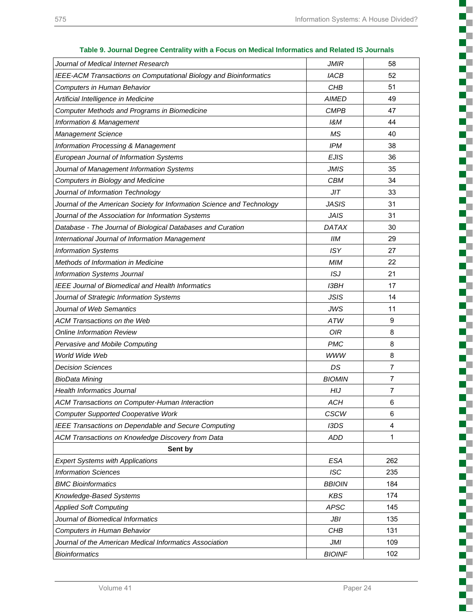**The Contract of the Contract of the Contract of the Contract of the Contract of the Contract of the Contract o** H.  $\Box$ C

> c T. Г ç

ď. a, Г

ş

ĸ. T c c a. c г r. c  $\mathbb{Z}$ Г г г c L H. c с Ę T с c L c U г c H. H

| 0. 000 minutes of the community with a rooms on mountain information and related to |               |     |
|-------------------------------------------------------------------------------------|---------------|-----|
| Journal of Medical Internet Research                                                | <b>JMIR</b>   | 58  |
| IEEE-ACM Transactions on Computational Biology and Bioinformatics                   | <b>IACB</b>   | 52  |
| Computers in Human Behavior                                                         | CHB           | 51  |
| Artificial Intelligence in Medicine                                                 | <b>AIMED</b>  | 49  |
| Computer Methods and Programs in Biomedicine                                        | <b>CMPB</b>   | 47  |
| <b>Information &amp; Management</b>                                                 | 18M           | 44  |
| <b>Management Science</b>                                                           | <b>MS</b>     | 40  |
| <b>Information Processing &amp; Management</b>                                      | <b>IPM</b>    | 38  |
| European Journal of Information Systems                                             | <b>EJIS</b>   | 36  |
| Journal of Management Information Systems                                           | <b>JMIS</b>   | 35  |
| Computers in Biology and Medicine                                                   | <b>CBM</b>    | 34  |
| Journal of Information Technology                                                   | JIT           | 33  |
| Journal of the American Society for Information Science and Technology              | <b>JASIS</b>  | 31  |
| Journal of the Association for Information Systems                                  | <b>JAIS</b>   | 31  |
| Database - The Journal of Biological Databases and Curation                         | <b>DATAX</b>  | 30  |
| International Journal of Information Management                                     | <b>IIM</b>    | 29  |
| <b>Information Systems</b>                                                          | <b>ISY</b>    | 27  |
| Methods of Information in Medicine                                                  | <b>MIM</b>    | 22  |
| <b>Information Systems Journal</b>                                                  | ISJ           | 21  |
| <b>IEEE Journal of Biomedical and Health Informatics</b>                            | I3BH          | 17  |
| Journal of Strategic Information Systems                                            | <b>JSIS</b>   | 14  |
| Journal of Web Semantics                                                            | <b>JWS</b>    | 11  |
| <b>ACM Transactions on the Web</b>                                                  | <b>ATW</b>    | 9   |
| <b>Online Information Review</b>                                                    | 0IR           | 8   |
| Pervasive and Mobile Computing                                                      | <b>PMC</b>    | 8   |
| World Wide Web                                                                      | <b>WWW</b>    | 8   |
| <b>Decision Sciences</b>                                                            | DS            | 7   |
| <b>BioData Mining</b>                                                               | <b>BIOMIN</b> | 7   |
| <b>Health Informatics Journal</b>                                                   | <b>HIJ</b>    | 7   |
| ACM Transactions on Computer-Human Interaction                                      | <b>ACH</b>    | 6   |
| <b>Computer Supported Cooperative Work</b>                                          | <b>CSCW</b>   | 6   |
| IEEE Transactions on Dependable and Secure Computing                                | I3DS          | 4   |
| ACM Transactions on Knowledge Discovery from Data                                   | <b>ADD</b>    | 1   |
| Sent by                                                                             |               |     |
| <b>Expert Systems with Applications</b>                                             | <b>ESA</b>    | 262 |
| <b>Information Sciences</b>                                                         | <b>ISC</b>    | 235 |
| <b>BMC Bioinformatics</b>                                                           | <b>BBIOIN</b> | 184 |
| Knowledge-Based Systems                                                             | <b>KBS</b>    | 174 |
| <b>Applied Soft Computing</b>                                                       | <b>APSC</b>   | 145 |
| Journal of Biomedical Informatics                                                   | JBI           | 135 |
| Computers in Human Behavior                                                         | CHB           | 131 |
| Journal of the American Medical Informatics Association                             | JMI           | 109 |
| <b>Bioinformatics</b>                                                               | <b>BIOINF</b> | 102 |
|                                                                                     |               |     |

**Table 9. Journal Degree Centrality with a Focus on Medical Informatics and Related IS Journals**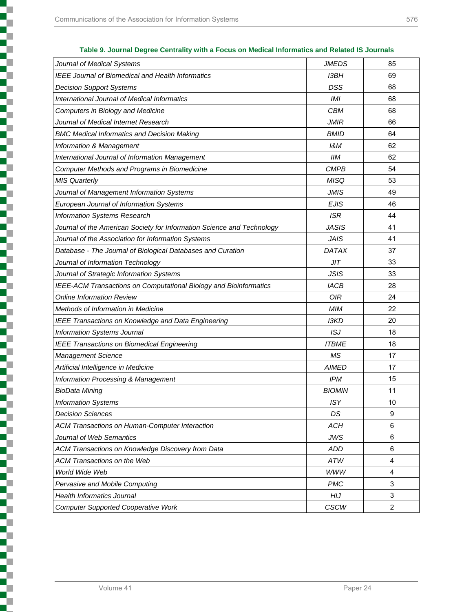| Journal of Medical Systems                                             | <b>JMEDS</b>  | 85             |
|------------------------------------------------------------------------|---------------|----------------|
| IEEE Journal of Biomedical and Health Informatics                      | I3BH          | 69             |
| <b>Decision Support Systems</b>                                        | DSS           | 68             |
| International Journal of Medical Informatics                           | IMI           | 68             |
| Computers in Biology and Medicine                                      | <b>CBM</b>    | 68             |
| Journal of Medical Internet Research                                   | <b>JMIR</b>   | 66             |
| <b>BMC Medical Informatics and Decision Making</b>                     | <b>BMID</b>   | 64             |
| Information & Management                                               | 18M           | 62             |
| International Journal of Information Management                        | <b>IIM</b>    | 62             |
| <b>Computer Methods and Programs in Biomedicine</b>                    | <b>CMPB</b>   | 54             |
| <b>MIS Quarterly</b>                                                   | <b>MISQ</b>   | 53             |
| Journal of Management Information Systems                              | <b>JMIS</b>   | 49             |
| European Journal of Information Systems                                | <b>EJIS</b>   | 46             |
| <b>Information Systems Research</b>                                    | <b>ISR</b>    | 44             |
| Journal of the American Society for Information Science and Technology | <b>JASIS</b>  | 41             |
| Journal of the Association for Information Systems                     | <b>JAIS</b>   | 41             |
| Database - The Journal of Biological Databases and Curation            | <b>DATAX</b>  | 37             |
| Journal of Information Technology                                      | JIT           | 33             |
| Journal of Strategic Information Systems                               | <b>JSIS</b>   | 33             |
| IEEE-ACM Transactions on Computational Biology and Bioinformatics      | <b>IACB</b>   | 28             |
| <b>Online Information Review</b>                                       | 0IR           | 24             |
| Methods of Information in Medicine                                     | <b>MIM</b>    | 22             |
| IEEE Transactions on Knowledge and Data Engineering                    | <b>I3KD</b>   | 20             |
| Information Systems Journal                                            | ISJ           | 18             |
| <b>IEEE Transactions on Biomedical Engineering</b>                     | <b>ITBME</b>  | 18             |
| <b>Management Science</b>                                              | <b>MS</b>     | 17             |
| Artificial Intelligence in Medicine                                    | <b>AIMED</b>  | 17             |
| Information Processing & Management                                    | IPM           | 15             |
| <b>BioData Mining</b>                                                  | <b>BIOMIN</b> | 11             |
| <b>Information Systems</b>                                             | <b>ISY</b>    | 10             |
| <b>Decision Sciences</b>                                               | DS            | 9              |
| ACM Transactions on Human-Computer Interaction                         | <b>ACH</b>    | 6              |
| Journal of Web Semantics                                               | <b>JWS</b>    | 6              |
| ACM Transactions on Knowledge Discovery from Data                      | <b>ADD</b>    | 6              |
| <b>ACM Transactions on the Web</b>                                     | ATW           | 4              |
| World Wide Web                                                         | <b>WWW</b>    | 4              |
| Pervasive and Mobile Computing                                         | <b>PMC</b>    | 3              |
| <b>Health Informatics Journal</b>                                      | HIJ           | 3              |
| <b>Computer Supported Cooperative Work</b>                             | <b>CSCW</b>   | $\overline{2}$ |
|                                                                        |               |                |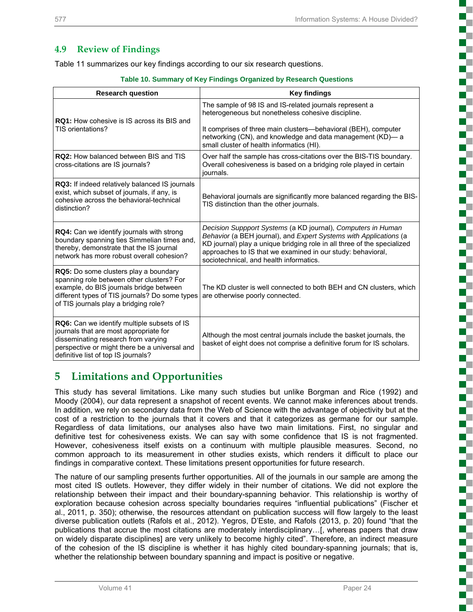## **4.9 Review of Findings**

Table 11 summarizes our key findings according to our six research questions.

|  |  |  | Table 10. Summary of Key Findings Organized by Research Questions |
|--|--|--|-------------------------------------------------------------------|
|  |  |  |                                                                   |

| <b>Research question</b>                                                                                                                                                                                                        | <b>Key findings</b>                                                                                                                                                                                                                                                                                                    |  |  |  |
|---------------------------------------------------------------------------------------------------------------------------------------------------------------------------------------------------------------------------------|------------------------------------------------------------------------------------------------------------------------------------------------------------------------------------------------------------------------------------------------------------------------------------------------------------------------|--|--|--|
| <b>RQ1:</b> How cohesive is IS across its BIS and                                                                                                                                                                               | The sample of 98 IS and IS-related journals represent a<br>heterogeneous but nonetheless cohesive discipline.                                                                                                                                                                                                          |  |  |  |
| TIS orientations?                                                                                                                                                                                                               | It comprises of three main clusters—behavioral (BEH), computer<br>networking (CN), and knowledge and data management (KD)-a<br>small cluster of health informatics (HI).                                                                                                                                               |  |  |  |
| <b>RQ2: How balanced between BIS and TIS</b><br>cross-citations are IS journals?                                                                                                                                                | Over half the sample has cross-citations over the BIS-TIS boundary.<br>Overall cohesiveness is based on a bridging role played in certain<br>journals.                                                                                                                                                                 |  |  |  |
| RQ3: If indeed relatively balanced IS journals<br>exist, which subset of journals, if any, is<br>cohesive across the behavioral-technical<br>distinction?                                                                       | Behavioral journals are significantly more balanced regarding the BIS-<br>TIS distinction than the other journals.                                                                                                                                                                                                     |  |  |  |
| RQ4: Can we identify journals with strong<br>boundary spanning ties Simmelian times and,<br>thereby, demonstrate that the IS journal<br>network has more robust overall cohesion?                                               | Decision Suppport Systems (a KD journal), Computers in Human<br>Behavior (a BEH journal), and Expert Systems with Applications (a<br>KD journal) play a unique bridging role in all three of the specialized<br>approaches to IS that we examined in our study: behavioral,<br>sociotechnical, and health informatics. |  |  |  |
| <b>RQ5:</b> Do some clusters play a boundary<br>spanning role between other clusters? For<br>example, do BIS journals bridge between<br>different types of TIS journals? Do some types<br>of TIS journals play a bridging role? | The KD cluster is well connected to both BEH and CN clusters, which<br>are otherwise poorly connected.                                                                                                                                                                                                                 |  |  |  |
| <b>RQ6:</b> Can we identify multiple subsets of IS<br>journals that are most appropriate for<br>disseminating research from varying<br>perspective or might there be a universal and<br>definitive list of top IS journals?     | Although the most central journals include the basket journals, the<br>basket of eight does not comprise a definitive forum for IS scholars.                                                                                                                                                                           |  |  |  |

# **5 Limitations and Opportunities**

This study has several limitations. Like many such studies but unlike Borgman and Rice (1992) and Moody (2004), our data represent a snapshot of recent events. We cannot make inferences about trends. In addition, we rely on secondary data from the Web of Science with the advantage of objectivity but at the cost of a restriction to the journals that it covers and that it categorizes as germane for our sample. Regardless of data limitations, our analyses also have two main limitations. First, no singular and definitive test for cohesiveness exists. We can say with some confidence that IS is not fragmented. However, cohesiveness itself exists on a continuum with multiple plausible measures. Second, no common approach to its measurement in other studies exists, which renders it difficult to place our findings in comparative context. These limitations present opportunities for future research.

The nature of our sampling presents further opportunities. All of the journals in our sample are among the most cited IS outlets. However, they differ widely in their number of citations. We did not explore the relationship between their impact and their boundary-spanning behavior. This relationship is worthy of exploration because cohesion across specialty boundaries requires "influential publications" (Fischer et al., 2011, p. 350); otherwise, the resources attendant on publication success will flow largely to the least diverse publication outlets (Rafols et al., 2012). Yegros, D'Este, and Rafols (2013, p. 20) found "that the publications that accrue the most citations are moderately interdisciplinary…[, whereas papers that draw on widely disparate disciplines] are very unlikely to become highly cited". Therefore, an indirect measure of the cohesion of the IS discipline is whether it has highly cited boundary-spanning journals; that is, whether the relationship between boundary spanning and impact is positive or negative.

Œ c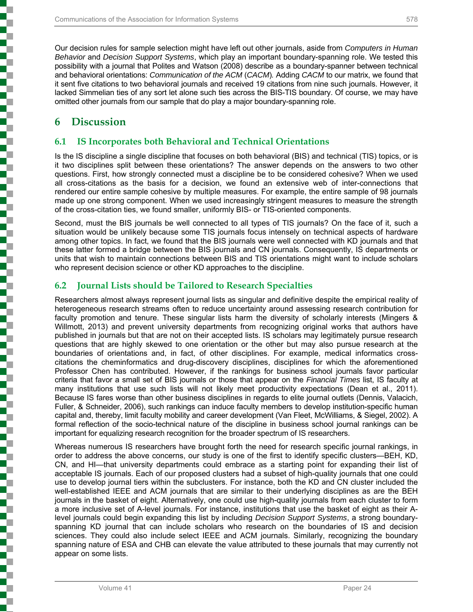Our decision rules for sample selection might have left out other journals, aside from *Computers in Human Behavior* and *Decision Support Systems*, which play an important boundary-spanning role. We tested this possibility with a journal that Polites and Watson (2008) describe as a boundary-spanner between technical and behavioral orientations: *Communication of the ACM* (*CACM*)*.* Adding *CACM* to our matrix, we found that it sent five citations to two behavioral journals and received 19 citations from nine such journals. However, it lacked Simmelian ties of any sort let alone such ties across the BIS-TIS boundary. Of course, we may have omitted other journals from our sample that do play a major boundary-spanning role.

# **6 Discussion**

į

į

i a contra de la contra de la contra de la contra de la contra de la contra de la contra de la contra de la co<br>Contra de la contra de la contra de la contra de la contra de la contra de la contra de la contra de la contra

## **6.1 IS Incorporates both Behavioral and Technical Orientations**

Is the IS discipline a single discipline that focuses on both behavioral (BIS) and technical (TIS) topics, or is it two disciplines split between these orientations? The answer depends on the answers to two other questions. First, how strongly connected must a discipline be to be considered cohesive? When we used all cross-citations as the basis for a decision, we found an extensive web of inter-connections that rendered our entire sample cohesive by multiple measures. For example, the entire sample of 98 journals made up one strong component. When we used increasingly stringent measures to measure the strength of the cross-citation ties, we found smaller, uniformly BIS- or TIS-oriented components.

Second, must the BIS journals be well connected to all types of TIS journals? On the face of it, such a situation would be unlikely because some TIS journals focus intensely on technical aspects of hardware among other topics. In fact, we found that the BIS journals were well connected with KD journals and that these latter formed a bridge between the BIS journals and CN journals. Consequently, IS departments or units that wish to maintain connections between BIS and TIS orientations might want to include scholars who represent decision science or other KD approaches to the discipline.

## **6.2 Journal Lists should be Tailored to Research Specialties**

Researchers almost always represent journal lists as singular and definitive despite the empirical reality of heterogeneous research streams often to reduce uncertainty around assessing research contribution for faculty promotion and tenure. These singular lists harm the diversity of scholarly interests (Mingers & Willmott, 2013) and prevent university departments from recognizing original works that authors have published in journals but that are not on their accepted lists. IS scholars may legitimately pursue research questions that are highly skewed to one orientation or the other but may also pursue research at the boundaries of orientations and, in fact, of other disciplines. For example, medical informatics crosscitations the cheminformatics and drug-discovery disciplines, disciplines for which the aforementioned Professor Chen has contributed. However, if the rankings for business school journals favor particular criteria that favor a small set of BIS journals or those that appear on the *Financial Times* list, IS faculty at many institutions that use such lists will not likely meet productivity expectations (Dean et al., 2011). Because IS fares worse than other business disciplines in regards to elite journal outlets (Dennis, Valacich, Fuller, & Schneider, 2006), such rankings can induce faculty members to develop institution-specific human capital and, thereby, limit faculty mobility and career development (Van Fleet, McWilliams, & Siegel, 2002). A formal reflection of the socio-technical nature of the discipline in business school journal rankings can be important for equalizing research recognition for the broader spectrum of IS researchers.

Whereas numerous IS researchers have brought forth the need for research specific journal rankings, in order to address the above concerns, our study is one of the first to identify specific clusters—BEH, KD, CN, and HI—that university departments could embrace as a starting point for expanding their list of acceptable IS journals. Each of our proposed clusters had a subset of high-quality journals that one could use to develop journal tiers within the subclusters. For instance, both the KD and CN cluster included the well-established IEEE and ACM journals that are similar to their underlying disciplines as are the BEH journals in the basket of eight. Alternatively, one could use high-quality journals from each cluster to form a more inclusive set of A-level journals. For instance, institutions that use the basket of eight as their Alevel journals could begin expanding this list by including *Decision Support Systems*, a strong boundaryspanning KD journal that can include scholars who research on the boundaries of IS and decision sciences. They could also include select IEEE and ACM journals. Similarly, recognizing the boundary spanning nature of ESA and CHB can elevate the value attributed to these journals that may currently not appear on some lists.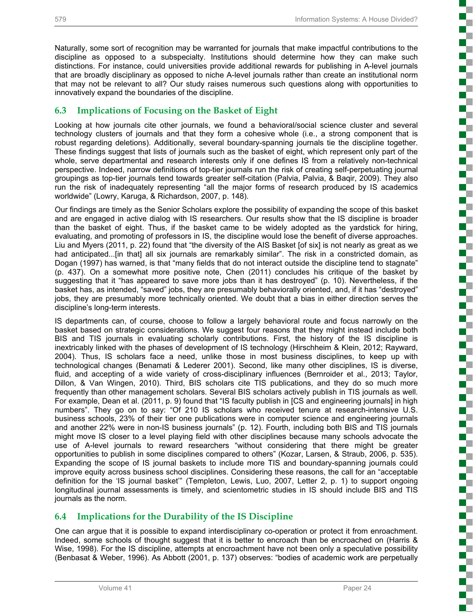5

E

i<br>Si

T.

Œ

Ŧ T

ţ

5 الماري

ċ

Ś

n T c

ŝ

 $\overline{\phantom{a}}$ 

š

Naturally, some sort of recognition may be warranted for journals that make impactful contributions to the discipline as opposed to a subspecialty. Institutions should determine how they can make such distinctions. For instance, could universities provide additional rewards for publishing in A-level journals that are broadly disciplinary as opposed to niche A-level journals rather than create an institutional norm that may not be relevant to all? Our study raises numerous such questions along with opportunities to innovatively expand the boundaries of the discipline.

## **6.3 Implications of Focusing on the Basket of Eight**

Looking at how journals cite other journals, we found a behavioral/social science cluster and several technology clusters of journals and that they form a cohesive whole (i.e., a strong component that is robust regarding deletions). Additionally, several boundary-spanning journals tie the discipline together. These findings suggest that lists of journals such as the basket of eight, which represent only part of the whole, serve departmental and research interests only if one defines IS from a relatively non-technical perspective. Indeed, narrow definitions of top-tier journals run the risk of creating self-perpetuating journal groupings as top-tier journals tend towards greater self-citation (Palvia, Palvia, & Baqir, 2009). They also run the risk of inadequately representing "all the major forms of research produced by IS academics worldwide" (Lowry, Karuga, & Richardson, 2007, p. 148).

Our findings are timely as the Senior Scholars explore the possibility of expanding the scope of this basket and are engaged in active dialog with IS researchers. Our results show that the IS discipline is broader than the basket of eight. Thus, if the basket came to be widely adopted as the yardstick for hiring, evaluating, and promoting of professors in IS, the discipline would lose the benefit of diverse approaches. Liu and Myers (2011, p. 22) found that "the diversity of the AIS Basket [of six] is not nearly as great as we had anticipated...[in that] all six journals are remarkably similar". The risk in a constricted domain, as Dogan (1997) has warned, is that "many fields that do not interact outside the discipline tend to stagnate" (p. 437). On a somewhat more positive note, Chen (2011) concludes his critique of the basket by suggesting that it "has appeared to save more jobs than it has destroyed" (p. 10). Nevertheless, if the basket has, as intended, "saved" jobs, they are presumably behaviorally oriented, and, if it has "destroyed" jobs, they are presumably more technically oriented. We doubt that a bias in either direction serves the discipline's long-term interests.

IS departments can, of course, choose to follow a largely behavioral route and focus narrowly on the basket based on strategic considerations. We suggest four reasons that they might instead include both BIS and TIS journals in evaluating scholarly contributions. First, the history of the IS discipline is inextricably linked with the phases of development of IS technology (Hirschheim & Klein, 2012; Rayward, 2004). Thus, IS scholars face a need, unlike those in most business disciplines, to keep up with technological changes (Benamati & Lederer 2001). Second, like many other disciplines, IS is diverse, fluid, and accepting of a wide variety of cross-disciplinary influences (Bernroider et al., 2013; Taylor, Dillon, & Van Wingen, 2010). Third, BIS scholars cite TIS publications, and they do so much more frequently than other management scholars. Several BIS scholars actively publish in TIS journals as well. For example, Dean et al. (2011, p. 9) found that "IS faculty publish in [CS and engineering journals] in high numbers". They go on to say: "Of 210 IS scholars who received tenure at research-intensive U.S. business schools, 23% of their tier one publications were in computer science and engineering journals and another 22% were in non-IS business journals" (p. 12). Fourth, including both BIS and TIS journals might move IS closer to a level playing field with other disciplines because many schools advocate the use of A-level journals to reward researchers "without considering that there might be greater opportunities to publish in some disciplines compared to others" (Kozar, Larsen, & Straub, 2006, p. 535). Expanding the scope of IS journal baskets to include more TIS and boundary-spanning journals could improve equity across business school disciplines. Considering these reasons, the call for an "acceptable definition for the 'IS journal basket'" (Templeton, Lewis, Luo, 2007, Letter 2, p. 1) to support ongoing longitudinal journal assessments is timely, and scientometric studies in IS should include BIS and TIS journals as the norm.

## **6.4 Implications for the Durability of the IS Discipline**

One can argue that it is possible to expand interdisciplinary co-operation or protect it from enroachment. Indeed, some schools of thought suggest that it is better to encroach than be encroached on (Harris & Wise, 1998). For the IS discipline, attempts at encroachment have not been only a speculative possibility (Benbasat & Weber, 1996). As Abbott (2001, p. 137) observes: "bodies of academic work are perpetually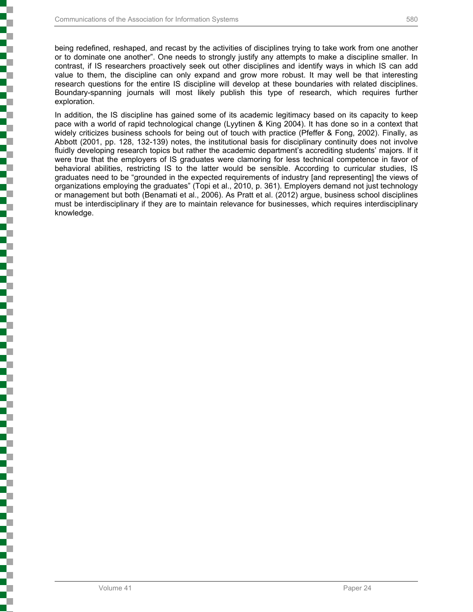being redefined, reshaped, and recast by the activities of disciplines trying to take work from one another or to dominate one another". One needs to strongly justify any attempts to make a discipline smaller. In contrast, if IS researchers proactively seek out other disciplines and identify ways in which IS can add value to them, the discipline can only expand and grow more robust. It may well be that interesting research questions for the entire IS discipline will develop at these boundaries with related disciplines. Boundary-spanning journals will most likely publish this type of research, which requires further exploration.

In addition, the IS discipline has gained some of its academic legitimacy based on its capacity to keep pace with a world of rapid technological change (Lyytinen & King 2004). It has done so in a context that widely criticizes business schools for being out of touch with practice (Pfeffer & Fong, 2002). Finally, as Abbott (2001, pp. 128, 132-139) notes, the institutional basis for disciplinary continuity does not involve fluidly developing research topics but rather the academic department's accrediting students' majors. If it were true that the employers of IS graduates were clamoring for less technical competence in favor of behavioral abilities, restricting IS to the latter would be sensible. According to curricular studies, IS graduates need to be "grounded in the expected requirements of industry [and representing] the views of organizations employing the graduates" (Topi et al., 2010, p. 361). Employers demand not just technology or management but both (Benamati et al., 2006). As Pratt et al. (2012) argue, business school disciplines must be interdisciplinary if they are to maintain relevance for businesses, which requires interdisciplinary knowledge.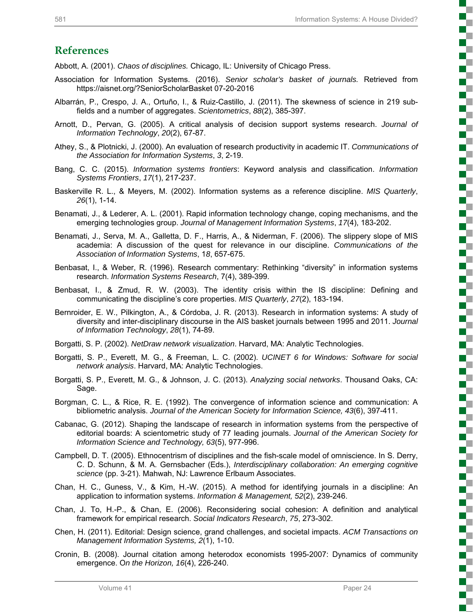## **References**

Abbott, A. (2001). *Chaos of disciplines.* Chicago, IL: University of Chicago Press.

- Association for Information Systems. (2016). *Senior scholar's basket of journals.* Retrieved from https://aisnet.org/?SeniorScholarBasket 07-20-2016
- Albarrán, P., Crespo, J. A., Ortuño, I., & Ruiz-Castillo, J. (2011). The skewness of science in 219 subfields and a number of aggregates. *Scientometrics*, *88*(2), 385-397.
- Arnott, D., Pervan, G. (2005). A critical analysis of decision support systems research. *Journal of Information Technology*, *20*(2), 67-87.
- Athey, S., & Plotnicki, J. (2000). An evaluation of research productivity in academic IT. *Communications of the Association for Information Systems*, *3*, 2-19.
- Bang, C. C. (2015). *Information systems frontiers*: Keyword analysis and classification. *Information Systems Frontiers*, *17*(1), 217-237.
- Baskerville R. L., & Meyers, M. (2002). Information systems as a reference discipline. *MIS Quarterly*, *26*(1), 1-14.
- Benamati, J., & Lederer, A. L. (2001). Rapid information technology change, coping mechanisms, and the emerging technologies group. *Journal of Management Information Systems*, *17*(4), 183-202.
- Benamati, J., Serva, M. A., Galletta, D. F., Harris, A., & Niderman, F. (2006). The slippery slope of MIS academia: A discussion of the quest for relevance in our discipline. *Communications of the Association of Information Systems*, 1*8*, 657-675.
- Benbasat, I., & Weber, R. (1996). Research commentary: Rethinking "diversity" in information systems research. *Information Systems Research*, 7(4), 389-399.
- Benbasat, I., & Zmud, R. W. (2003). The identity crisis within the IS discipline: Defining and communicating the discipline's core properties. *MIS Quarterly*, *27*(2), 183-194.
- Bernroider, E. W., Pilkington, A., & Córdoba, J. R. (2013). Research in information systems: A study of diversity and inter-disciplinary discourse in the AIS basket journals between 1995 and 2011. *Journal of Information Technology*, *28*(1), 74-89.
- Borgatti, S. P. (2002). *NetDraw network visualization*. Harvard, MA: Analytic Technologies.
- Borgatti, S. P., Everett, M. G., & Freeman, L. C. (2002). *UCINET 6 for Windows: Software for social network analysis*. Harvard, MA: Analytic Technologies.
- Borgatti, S. P., Everett, M. G., & Johnson, J. C. (2013). *Analyzing social networks*. Thousand Oaks, CA: Sage.
- Borgman, C. L., & Rice, R. E. (1992). The convergence of information science and communication: A bibliometric analysis. *Journal of the American Society for Information Science, 43*(6), 397-411.
- Cabanac, G. (2012). Shaping the landscape of research in information systems from the perspective of editorial boards: A scientometric study of 77 leading journals. *Journal of the American Society for Information Science and Technology, 63*(5), 977-996.
- Campbell, D. T. (2005). Ethnocentrism of disciplines and the fish-scale model of omniscience. In S. Derry, C. D. Schunn, & M. A. Gernsbacher (Eds.), *Interdisciplinary collaboration: An emerging cognitive science* (pp. 3-21). Mahwah, NJ: Lawrence Erlbaum Associates.
- Chan, H. C., Guness, V., & Kim, H.-W. (2015). A method for identifying journals in a discipline: An application to information systems. *Information & Management, 52*(2), 239-246.
- Chan, J. To, H.-P., & Chan, E. (2006). Reconsidering social cohesion: A definition and analytical framework for empirical research. *Social Indicators Research*, *75*, 273-302.
- Chen, H. (2011). Editorial: Design science, grand challenges, and societal impacts. *ACM Transactions on Management Information Systems, 2*(1), 1-10.
- Cronin, B. (2008). Journal citation among heterodox economists 1995-2007: Dynamics of community emergence. O*n the Horizon, 16*(4), 226-240.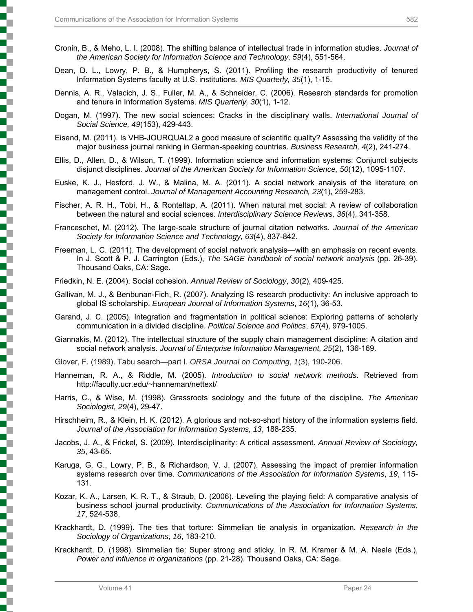- Cronin, B., & Meho, L. I. (2008). The shifting balance of intellectual trade in information studies. *Journal of the American Society for Information Science and Technology, 59*(4), 551-564.
- Dean, D. L., Lowry, P. B., & Humpherys, S. (2011). Profiling the research productivity of tenured Information Systems faculty at U.S. institutions. *MIS Quarterly, 35*(1), 1-15.
- Dennis, A. R., Valacich, J. S., Fuller, M. A., & Schneider, C. (2006). Research standards for promotion and tenure in Information Systems. *MIS Quarterly, 30*(1), 1-12.
- Dogan, M. (1997). The new social sciences: Cracks in the disciplinary walls. *International Journal of Social Science, 49*(153), 429-443.
- Eisend, M. (2011). Is VHB-JOURQUAL2 a good measure of scientific quality? Assessing the validity of the major business journal ranking in German-speaking countries. *Business Research, 4*(2), 241-274.
- Ellis, D., Allen, D., & Wilson, T. (1999). Information science and information systems: Conjunct subjects disjunct disciplines. *Journal of the American Society for Information Science, 50*(12), 1095-1107.
- Euske, K. J., Hesford, J. W., & Malina, M. A. (2011). A social network analysis of the literature on management control. *Journal of Management Accounting Research, 23*(1), 259-283.
- Fischer, A. R. H., Tobi, H., & Ronteltap, A. (2011). When natural met social: A review of collaboration between the natural and social sciences. *Interdisciplinary Science Reviews, 36*(4), 341-358.
- Franceschet, M. (2012). The large-scale structure of journal citation networks. *Journal of the American Society for Information Science and Technology, 63*(4), 837-842.
- Freeman, L. C. (2011). The development of social network analysis—with an emphasis on recent events. In J. Scott & P. J. Carrington (Eds.), *The SAGE handbook of social network analysis* (pp. 26-39). Thousand Oaks, CA: Sage.
- Friedkin, N. E. (2004). Social cohesion. *Annual Review of Sociology*, *30*(2), 409-425.
- Gallivan, M. J., & Benbunan-Fich, R. (2007). Analyzing IS research productivity: An inclusive approach to global IS scholarship. *European Journal of Information Systems*, *16*(1), 36-53.
- Garand, J. C. (2005). Integration and fragmentation in political science: Exploring patterns of scholarly communication in a divided discipline. *Political Science and Politics*, *67*(4), 979-1005.
- Giannakis, M. (2012). The intellectual structure of the supply chain management discipline: A citation and social network analysis. *Journal of Enterprise Information Management, 25*(2), 136-169.
- Glover, F. (1989). Tabu search—part I. *ORSA Journal on Computing*, *1*(3), 190-206.
- Hanneman, R. A., & Riddle, M. (2005). *Introduction to social network methods*. Retrieved from http://faculty.ucr.edu/~hanneman/nettext/
- Harris, C., & Wise, M. (1998). Grassroots sociology and the future of the discipline. *The American Sociologist, 29*(4), 29-47.
- Hirschheim, R., & Klein, H. K. (2012). A glorious and not-so-short history of the information systems field. *Journal of the Association for Information Systems, 13*, 188-235.
- Jacobs, J. A., & Frickel, S. (2009). Interdisciplinarity: A critical assessment. *Annual Review of Sociology, 35*, 43-65.
- Karuga, G. G., Lowry, P. B., & Richardson, V. J. (2007). Assessing the impact of premier information systems research over time. *Communications of the Association for Information Systems*, *19*, 115- 131.
- Kozar, K. A., Larsen, K. R. T., & Straub, D. (2006). Leveling the playing field: A comparative analysis of business school journal productivity. *Communications of the Association for Information Systems*, *17*, 524-538.
- Krackhardt, D. (1999). The ties that torture: Simmelian tie analysis in organization. *Research in the Sociology of Organizations*, *16*, 183-210.
- Krackhardt, D. (1998). Simmelian tie: Super strong and sticky. In R. M. Kramer & M. A. Neale (Eds.), *Power and influence in organizations* (pp. 21-28). Thousand Oaks, CA: Sage.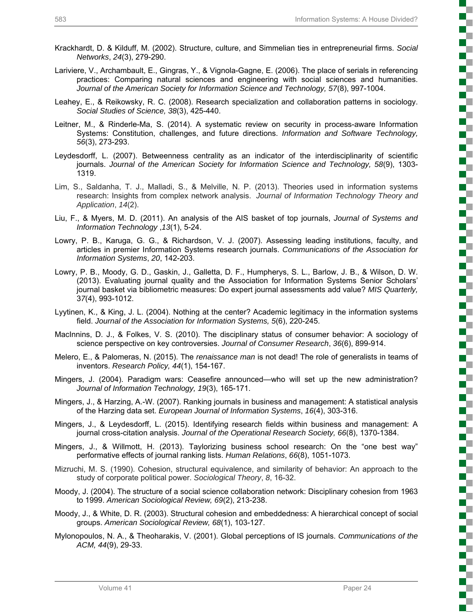c

L

į

r 2

į

2

Ş

T

į

is<br>See See

ì

- Krackhardt, D. & Kilduff, M. (2002). Structure, culture, and Simmelian ties in entrepreneurial firms. *Social Networks*, *24*(3), 279-290.
- Lariviere, V., Archambault, E., Gingras, Y., & Vignola-Gagne, E. (2006). The place of serials in referencing practices: Comparing natural sciences and engineering with social sciences and humanities. *Journal of the American Society for Information Science and Technology, 57*(8), 997-1004.
- Leahey, E., & Reikowsky, R. C. (2008). Research specialization and collaboration patterns in sociology. *Social Studies of Science, 38*(3), 425-440.
- Leitner, M., & Rinderle-Ma, S. (2014). A systematic review on security in process-aware Information Systems: Constitution, challenges, and future directions. *Information and Software Technology, 56*(3), 273-293.
- Leydesdorff, L. (2007). Betweenness centrality as an indicator of the interdisciplinarity of scientific journals. *Journal of the American Society for Information Science and Technology, 58*(9), 1303- 1319.
- Lim, S., Saldanha, T. J., Malladi, S., & Melville, N. P. (2013). Theories used in information systems research: Insights from complex network analysis. *Journal of Information Technology Theory and Application*, *14*(2).
- Liu, F., & Myers, M. D. (2011). An analysis of the AIS basket of top journals, *Journal of Systems and Information Technology* ,*13*(1), 5-24.
- Lowry, P. B., Karuga, G. G., & Richardson, V. J. (2007). Assessing leading institutions, faculty, and articles in premier Information Systems research journals. *Communications of the Association for Information Systems*, *20*, 142-203.
- Lowry, P. B., Moody, G. D., Gaskin, J., Galletta, D. F., Humpherys, S. L., Barlow, J. B., & Wilson, D. W. (2013). Evaluating journal quality and the Association for Information Systems Senior Scholars' journal basket via bibliometric measures: Do expert journal assessments add value? *MIS Quarterly,* 3*7*(4), 993-1012.
- Lyytinen, K., & King, J. L. (2004). Nothing at the center? Academic legitimacy in the information systems field. *Journal of the Association for Information Systems, 5*(6), 220-245.
- MacInnins, D. J., & Folkes, V. S. (2010). The disciplinary status of consumer behavior: A sociology of science perspective on key controversies. *Journal of Consumer Research*, *36*(6), 899-914.
- Melero, E., & Palomeras, N. (2015). The *renaissance man* is not dead! The role of generalists in teams of inventors. *Research Policy, 44*(1), 154-167.
- Mingers, J. (2004). Paradigm wars: Ceasefire announced—who will set up the new administration? *Journal of Information Technology, 19*(3), 165-171.
- Mingers, J., & Harzing, A.-W. (2007). Ranking journals in business and management: A statistical analysis of the Harzing data set. *European Journal of Information Systems*, *16*(4), 303-316.
- Mingers, J., & Leydesdorff, L. (2015). Identifying research fields within business and management: A journal cross-citation analysis. *Journal of the Operational Research Society, 66*(8), 1370-1384.
- Mingers, J., & Willmott, H. (2013). Taylorizing business school research: On the "one best way" performative effects of journal ranking lists. *Human Relations*, *66*(8), 1051-1073.
- Mizruchi, M. S. (1990). Cohesion, structural equivalence, and similarity of behavior: An approach to the study of corporate political power. *Sociological Theory*, *8*, 16-32.
- Moody, J. (2004). The structure of a social science collaboration network: Disciplinary cohesion from 1963 to 1999. *American Sociological Review, 69*(2), 213-238.
- Moody, J., & White, D. R. (2003). Structural cohesion and embeddedness: A hierarchical concept of social groups. *American Sociological Review, 68*(1), 103-127.
- Mylonopoulos, N. A., & Theoharakis, V. (2001). Global perceptions of IS journals. *Communications of the ACM, 44*(9), 29-33.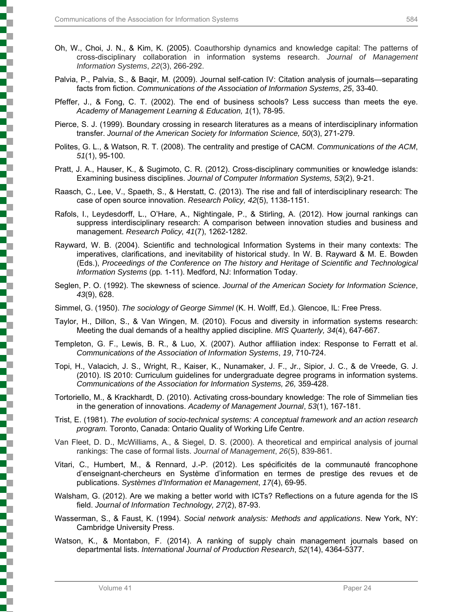- Oh, W., Choi, J. N., & Kim, K. (2005). Coauthorship dynamics and knowledge capital: The patterns of cross-disciplinary collaboration in information systems research. *Journal of Management Information Systems*, *22*(3), 266-292.
- Palvia, P., Palvia, S., & Baqir, M. (2009). Journal self-cation IV: Citation analysis of journals—separating facts from fiction. *Communications of the Association of Information Systems*, *25*, 33-40.
- Pfeffer, J., & Fong, C. T. (2002). The end of business schools? Less success than meets the eye. *Academy of Management Learning & Education, 1*(1), 78-95.
- Pierce, S. J. (1999). Boundary crossing in research literatures as a means of interdisciplinary information transfer. *Journal of the American Society for Information Science, 50*(3), 271-279.
- Polites, G. L., & Watson, R. T. (2008). The centrality and prestige of CACM. *Communications of the ACM*, *51*(1), 95-100.
- Pratt, J. A., Hauser, K., & Sugimoto, C. R. (2012). Cross-disciplinary communities or knowledge islands: Examining business disciplines. *Journal of Computer Information Systems, 53*(2), 9-21.
- Raasch, C., Lee, V., Spaeth, S., & Herstatt, C. (2013). The rise and fall of interdisciplinary research: The case of open source innovation. *Research Policy, 42*(5), 1138-1151.
- Rafols, I., Leydesdorff, L., O'Hare, A., Nightingale, P., & Stirling, A. (2012). How journal rankings can suppress interdisciplinary research: A comparison between innovation studies and business and management. *Research Policy, 41*(7), 1262-1282.
- Rayward, W. B. (2004). Scientific and technological Information Systems in their many contexts: The imperatives, clarifications, and inevitability of historical study. In W. B. Rayward & M. E. Bowden (Eds.), *Proceedings of the Conference on The history and Heritage of Scientific and Technological Information Systems* (pp*.* 1-11). Medford, NJ: Information Today.
- Seglen, P. O. (1992). The skewness of science. *Journal of the American Society for Information Science*, *43*(9), 628.
- Simmel, G. (1950). *The sociology of George Simmel* (K. H. Wolff, Ed.). Glencoe, IL: Free Press.
- Taylor, H., Dillon, S., & Van Wingen, M. (2010). Focus and diversity in information systems research: Meeting the dual demands of a healthy applied discipline. *MIS Quarterly, 34*(4), 647-667.
- Templeton, G. F., Lewis, B. R., & Luo, X. (2007). Author affiliation index: Response to Ferratt et al. *Communications of the Association of Information Systems*, *19*, 710-724.
- Topi, H., Valacich, J. S., Wright, R., Kaiser, K., Nunamaker, J. F., Jr., Sipior, J. C., & de Vreede, G. J. (2010). IS 2010: Curriculum guidelines for undergraduate degree programs in information systems. *Communications of the Association for Information Systems, 26,* 359-428.
- Tortoriello, M., & Krackhardt, D. (2010). Activating cross-boundary knowledge: The role of Simmelian ties in the generation of innovations. *Academy of Management Journal*, *53*(1), 167-181.
- Trist, E. (1981). *The evolution of socio-technical systems: A conceptual framework and an action research program.* Toronto, Canada: Ontario Quality of Working Life Centre.
- Van Fleet, D. D., McWilliams, A., & Siegel, D. S. (2000). A theoretical and empirical analysis of journal rankings: The case of formal lists. *Journal of Management*, *26*(5), 839-861.
- Vitari, C., Humbert, M., & Rennard, J.-P. (2012). Les spécificités de la communauté francophone d'enseignant-chercheurs en Système d'information en termes de prestige des revues et de publications. *Systèmes d'Information et Management*, *17*(4), 69-95.
- Walsham, G. (2012). Are we making a better world with ICTs? Reflections on a future agenda for the IS field. *Journal of Information Technology, 27*(2), 87-93.
- Wasserman, S., & Faust, K. (1994). *Social network analysis: Methods and applications*. New York, NY: Cambridge University Press.
- Watson, K., & Montabon, F. (2014). A ranking of supply chain management journals based on departmental lists. *International Journal of Production Research*, *52*(14), 4364-5377.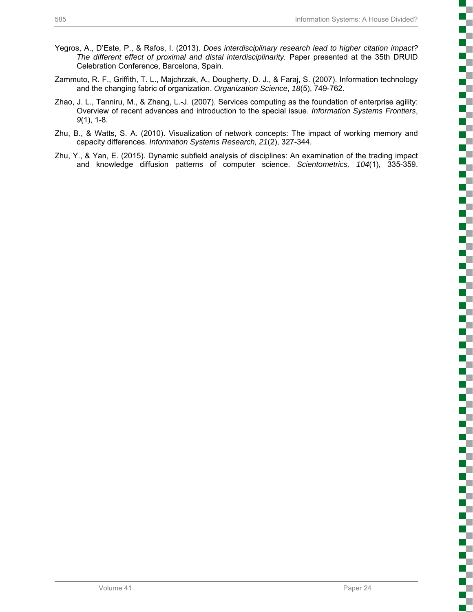- Yegros, A., D'Este, P., & Rafos, I. (2013). *Does interdisciplinary research lead to higher citation impact? The different effect of proximal and distal interdisciplinarity.* Paper presented at the 35th DRUID Celebration Conference, Barcelona, Spain.
- Zammuto, R. F., Griffith, T. L., Majchrzak, A., Dougherty, D. J., & Faraj, S. (2007). Information technology and the changing fabric of organization. *Organization Science*, *18*(5), 749-762.
- Zhao, J. L., Tanniru, M., & Zhang, L.-J. (2007). Services computing as the foundation of enterprise agility: Overview of recent advances and introduction to the special issue. *Information Systems Frontiers*, *9*(1), 1-8.
- Zhu, B., & Watts, S. A. (2010). Visualization of network concepts: The impact of working memory and capacity differences. *Information Systems Research, 21*(2), 327-344.
- Zhu, Y., & Yan, E. (2015). Dynamic subfield analysis of disciplines: An examination of the trading impact and knowledge diffusion patterns of computer science. *Scientometrics, 104*(1), 335-359.